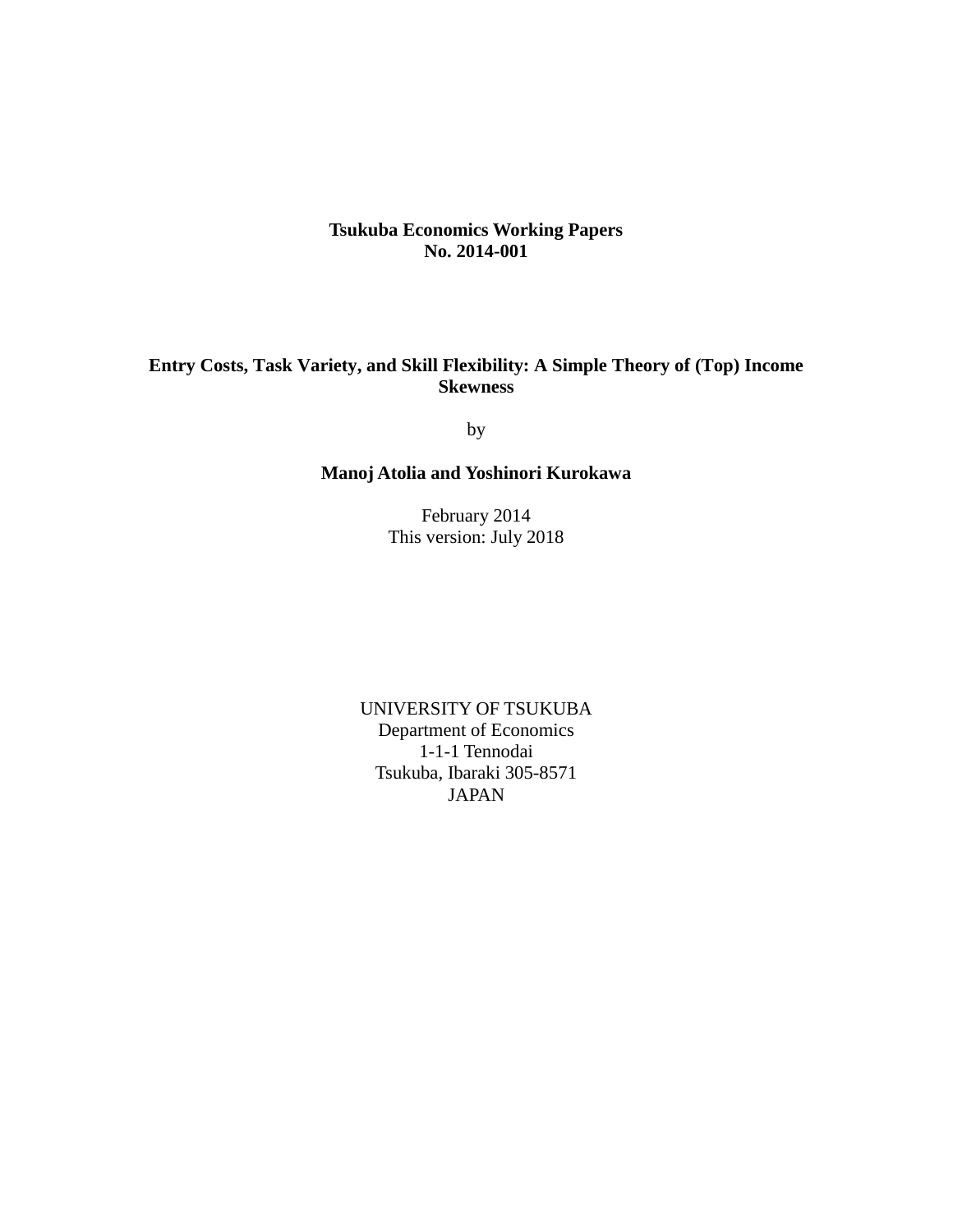## **Tsukuba Economics Working Papers No. 2014-001**

# **Entry Costs, Task Variety, and Skill Flexibility: A Simple Theory of (Top) Income Skewness**

by

# **Manoj Atolia and Yoshinori Kurokawa**

February 2014 This version: July 2018

UNIVERSITY OF TSUKUBA Department of Economics 1-1-1 Tennodai Tsukuba, Ibaraki 305-8571 JAPAN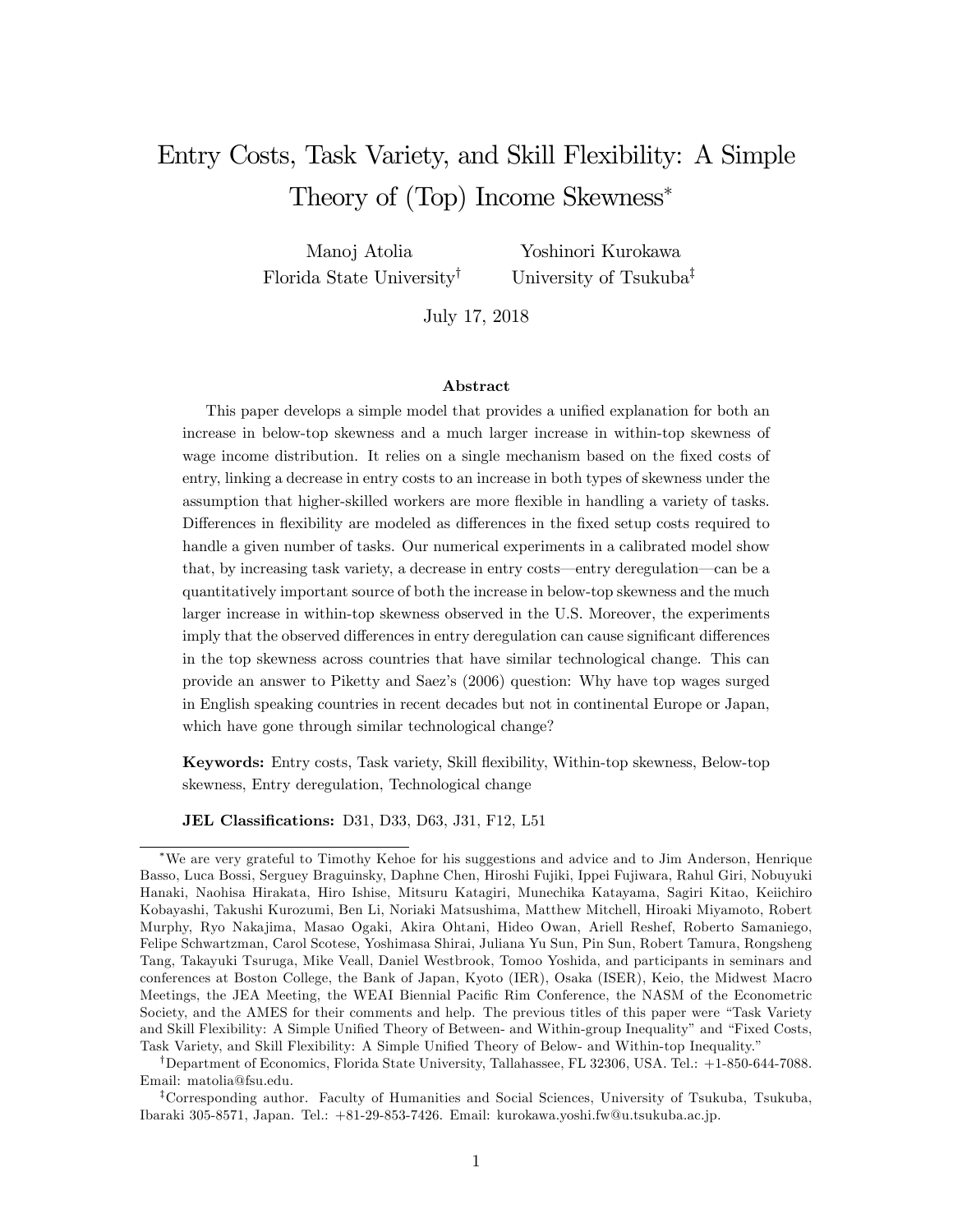# Entry Costs, Task Variety, and Skill Flexibility: A Simple Theory of (Top) Income Skewness

Manoj Atolia Florida State University<sup>†</sup>

Yoshinori Kurokawa University of Tsukuba<sup>‡</sup>

July 17, 2018

#### Abstract

This paper develops a simple model that provides a unified explanation for both an increase in below-top skewness and a much larger increase in within-top skewness of wage income distribution. It relies on a single mechanism based on the fixed costs of entry, linking a decrease in entry costs to an increase in both types of skewness under the assumption that higher-skilled workers are more flexible in handling a variety of tasks. Differences in flexibility are modeled as differences in the fixed setup costs required to handle a given number of tasks. Our numerical experiments in a calibrated model show that, by increasing task variety, a decrease in entry costs—entry deregulation—can be a quantitatively important source of both the increase in below-top skewness and the much larger increase in within-top skewness observed in the U.S. Moreover, the experiments imply that the observed differences in entry deregulation can cause significant differences in the top skewness across countries that have similar technological change. This can provide an answer to Piketty and Saezís (2006) question: Why have top wages surged in English speaking countries in recent decades but not in continental Europe or Japan, which have gone through similar technological change?

Keywords: Entry costs, Task variety, Skill áexibility, Within-top skewness, Below-top skewness, Entry deregulation, Technological change

JEL Classifications: D31, D33, D63, J31, F12, L51

<sup>†</sup>Department of Economics, Florida State University, Tallahassee, FL 32306, USA. Tel.:  $+1$ -850-644-7088. Email: matolia@fsu.edu.

<sup>‡</sup>Corresponding author. Faculty of Humanities and Social Sciences, University of Tsukuba, Tsukuba, Ibaraki 305-8571, Japan. Tel.: +81-29-853-7426. Email: kurokawa.yoshi.fw@u.tsukuba.ac.jp.

We are very grateful to Timothy Kehoe for his suggestions and advice and to Jim Anderson, Henrique Basso, Luca Bossi, Serguey Braguinsky, Daphne Chen, Hiroshi Fujiki, Ippei Fujiwara, Rahul Giri, Nobuyuki Hanaki, Naohisa Hirakata, Hiro Ishise, Mitsuru Katagiri, Munechika Katayama, Sagiri Kitao, Keiichiro Kobayashi, Takushi Kurozumi, Ben Li, Noriaki Matsushima, Matthew Mitchell, Hiroaki Miyamoto, Robert Murphy, Ryo Nakajima, Masao Ogaki, Akira Ohtani, Hideo Owan, Ariell Reshef, Roberto Samaniego, Felipe Schwartzman, Carol Scotese, Yoshimasa Shirai, Juliana Yu Sun, Pin Sun, Robert Tamura, Rongsheng Tang, Takayuki Tsuruga, Mike Veall, Daniel Westbrook, Tomoo Yoshida, and participants in seminars and conferences at Boston College, the Bank of Japan, Kyoto (IER), Osaka (ISER), Keio, the Midwest Macro Meetings, the JEA Meeting, the WEAI Biennial Pacific Rim Conference, the NASM of the Econometric Society, and the AMES for their comments and help. The previous titles of this paper were "Task Variety" and Skill Flexibility: A Simple Unified Theory of Between- and Within-group Inequality" and "Fixed Costs, Task Variety, and Skill Flexibility: A Simple Unified Theory of Below- and Within-top Inequality."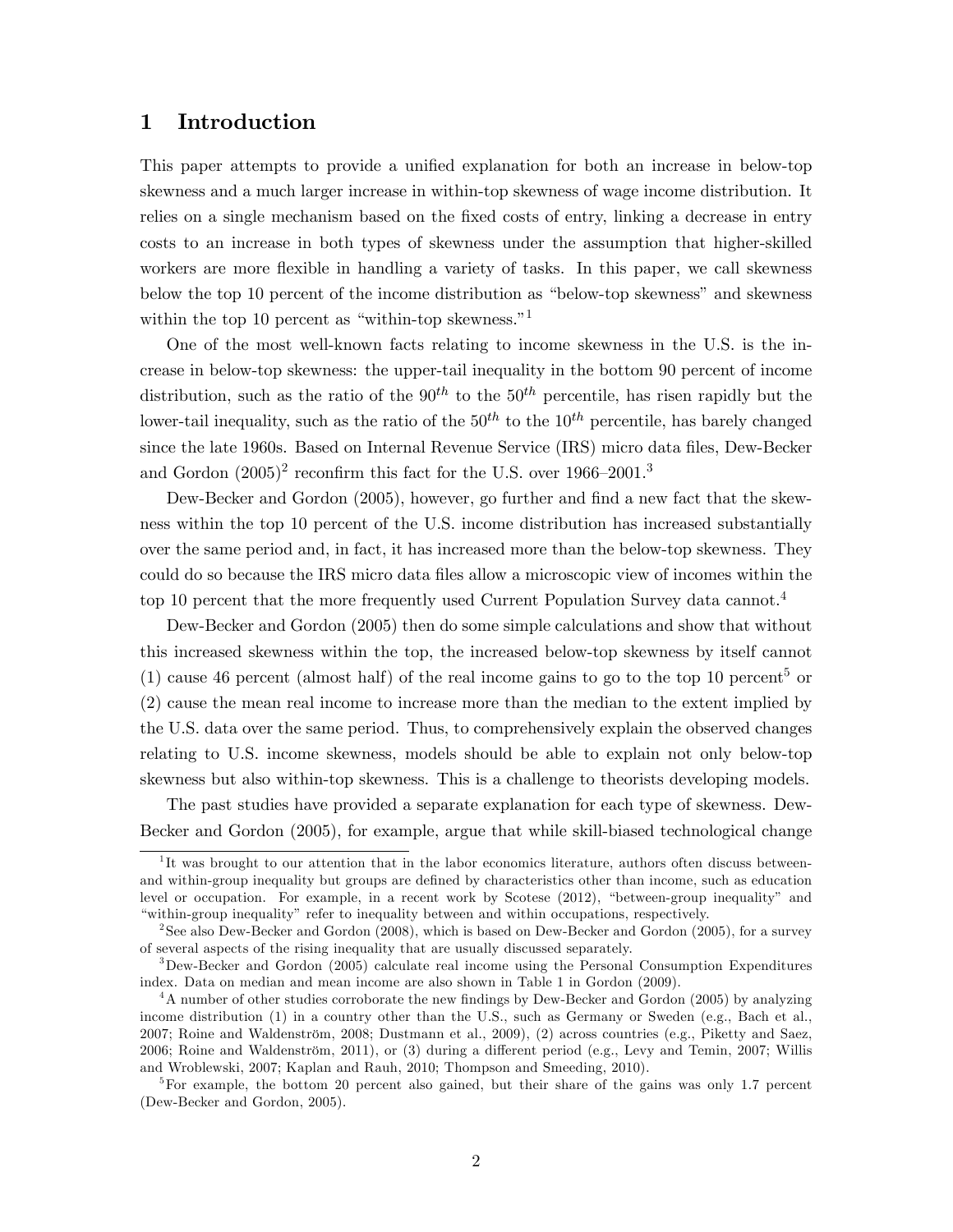## 1 Introduction

This paper attempts to provide a unified explanation for both an increase in below-top skewness and a much larger increase in within-top skewness of wage income distribution. It relies on a single mechanism based on the fixed costs of entry, linking a decrease in entry costs to an increase in both types of skewness under the assumption that higher-skilled workers are more flexible in handling a variety of tasks. In this paper, we call skewness below the top 10 percent of the income distribution as "below-top skewness" and skewness within the top 10 percent as "within-top skewness."<sup>1</sup>

One of the most well-known facts relating to income skewness in the U.S. is the increase in below-top skewness: the upper-tail inequality in the bottom 90 percent of income distribution, such as the ratio of the  $90^{th}$  to the  $50^{th}$  percentile, has risen rapidly but the lower-tail inequality, such as the ratio of the  $50<sup>th</sup>$  to the  $10<sup>th</sup>$  percentile, has barely changed since the late 1960s. Based on Internal Revenue Service (IRS) micro data files, Dew-Becker and Gordon  $(2005)^2$  reconfirm this fact for the U.S. over  $1966-2001$ .<sup>3</sup>

Dew-Becker and Gordon (2005), however, go further and find a new fact that the skewness within the top 10 percent of the U.S. income distribution has increased substantially over the same period and, in fact, it has increased more than the below-top skewness. They could do so because the IRS micro data files allow a microscopic view of incomes within the top 10 percent that the more frequently used Current Population Survey data cannot.<sup>4</sup>

Dew-Becker and Gordon (2005) then do some simple calculations and show that without this increased skewness within the top, the increased below-top skewness by itself cannot (1) cause 46 percent (almost half) of the real income gains to go to the top 10 percent<sup>5</sup> or (2) cause the mean real income to increase more than the median to the extent implied by the U.S. data over the same period. Thus, to comprehensively explain the observed changes relating to U.S. income skewness, models should be able to explain not only below-top skewness but also within-top skewness. This is a challenge to theorists developing models.

The past studies have provided a separate explanation for each type of skewness. Dew-Becker and Gordon (2005), for example, argue that while skill-biased technological change

<sup>&</sup>lt;sup>1</sup>It was brought to our attention that in the labor economics literature, authors often discuss betweenand within-group inequality but groups are defined by characteristics other than income, such as education level or occupation. For example, in a recent work by Scotese (2012), "between-group inequality" and ìwithin-group inequalityî refer to inequality between and within occupations, respectively.

<sup>&</sup>lt;sup>2</sup> See also Dew-Becker and Gordon (2008), which is based on Dew-Becker and Gordon (2005), for a survey of several aspects of the rising inequality that are usually discussed separately.

<sup>&</sup>lt;sup>3</sup>Dew-Becker and Gordon (2005) calculate real income using the Personal Consumption Expenditures index. Data on median and mean income are also shown in Table 1 in Gordon (2009).

<sup>&</sup>lt;sup>4</sup>A number of other studies corroborate the new findings by Dew-Becker and Gordon (2005) by analyzing income distribution (1) in a country other than the U.S., such as Germany or Sweden (e.g., Bach et al., 2007; Roine and Waldenström, 2008; Dustmann et al., 2009), (2) across countries (e.g., Piketty and Saez, 2006; Roine and Waldenström, 2011), or (3) during a different period (e.g., Levy and Temin, 2007; Willis and Wroblewski, 2007; Kaplan and Rauh, 2010; Thompson and Smeeding, 2010).

<sup>&</sup>lt;sup>5</sup>For example, the bottom 20 percent also gained, but their share of the gains was only 1.7 percent (Dew-Becker and Gordon, 2005).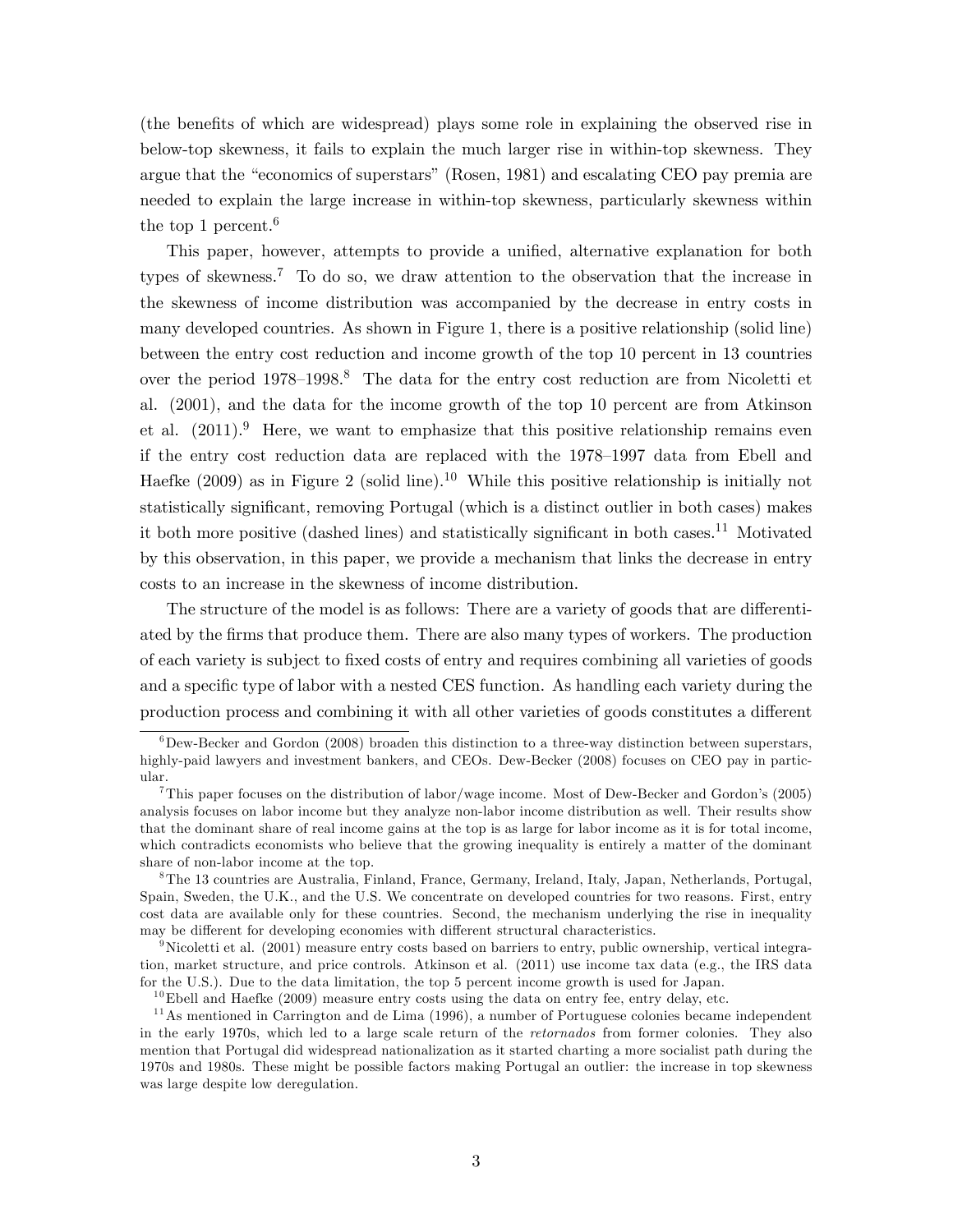(the benefits of which are widespread) plays some role in explaining the observed rise in below-top skewness, it fails to explain the much larger rise in within-top skewness. They argue that the "economics of superstars" (Rosen, 1981) and escalating CEO pay premia are needed to explain the large increase in within-top skewness, particularly skewness within the top 1 percent.<sup>6</sup>

This paper, however, attempts to provide a unified, alternative explanation for both types of skewness.<sup>7</sup> To do so, we draw attention to the observation that the increase in the skewness of income distribution was accompanied by the decrease in entry costs in many developed countries. As shown in Figure 1, there is a positive relationship (solid line) between the entry cost reduction and income growth of the top 10 percent in 13 countries over the period  $1978-1998.8$  The data for the entry cost reduction are from Nicoletti et al. (2001), and the data for the income growth of the top 10 percent are from Atkinson et al.  $(2011).<sup>9</sup>$  Here, we want to emphasize that this positive relationship remains even if the entry cost reduction data are replaced with the  $1978-1997$  data from Ebell and Haefke (2009) as in Figure 2 (solid line).<sup>10</sup> While this positive relationship is initially not statistically significant, removing Portugal (which is a distinct outlier in both cases) makes it both more positive (dashed lines) and statistically significant in both cases.<sup>11</sup> Motivated by this observation, in this paper, we provide a mechanism that links the decrease in entry costs to an increase in the skewness of income distribution.

The structure of the model is as follows: There are a variety of goods that are differentiated by the Örms that produce them. There are also many types of workers. The production of each variety is subject to Öxed costs of entry and requires combining all varieties of goods and a specific type of labor with a nested CES function. As handling each variety during the production process and combining it with all other varieties of goods constitutes a different

 $6$ Dew-Becker and Gordon (2008) broaden this distinction to a three-way distinction between superstars, highly-paid lawyers and investment bankers, and CEOs. Dew-Becker (2008) focuses on CEO pay in particular.

<sup>&</sup>lt;sup>7</sup>This paper focuses on the distribution of labor/wage income. Most of Dew-Becker and Gordon's (2005) analysis focuses on labor income but they analyze non-labor income distribution as well. Their results show that the dominant share of real income gains at the top is as large for labor income as it is for total income, which contradicts economists who believe that the growing inequality is entirely a matter of the dominant share of non-labor income at the top.

<sup>8</sup>The 13 countries are Australia, Finland, France, Germany, Ireland, Italy, Japan, Netherlands, Portugal, Spain, Sweden, the U.K., and the U.S. We concentrate on developed countries for two reasons. First, entry cost data are available only for these countries. Second, the mechanism underlying the rise in inequality may be different for developing economies with different structural characteristics.

<sup>&</sup>lt;sup>9</sup>Nicoletti et al. (2001) measure entry costs based on barriers to entry, public ownership, vertical integration, market structure, and price controls. Atkinson et al. (2011) use income tax data (e.g., the IRS data for the U.S.). Due to the data limitation, the top 5 percent income growth is used for Japan.

<sup>&</sup>lt;sup>10</sup>Ebell and Haefke  $(2009)$  measure entry costs using the data on entry fee, entry delay, etc.

 $11$ As mentioned in Carrington and de Lima (1996), a number of Portuguese colonies became independent in the early 1970s, which led to a large scale return of the retornados from former colonies. They also mention that Portugal did widespread nationalization as it started charting a more socialist path during the 1970s and 1980s. These might be possible factors making Portugal an outlier: the increase in top skewness was large despite low deregulation.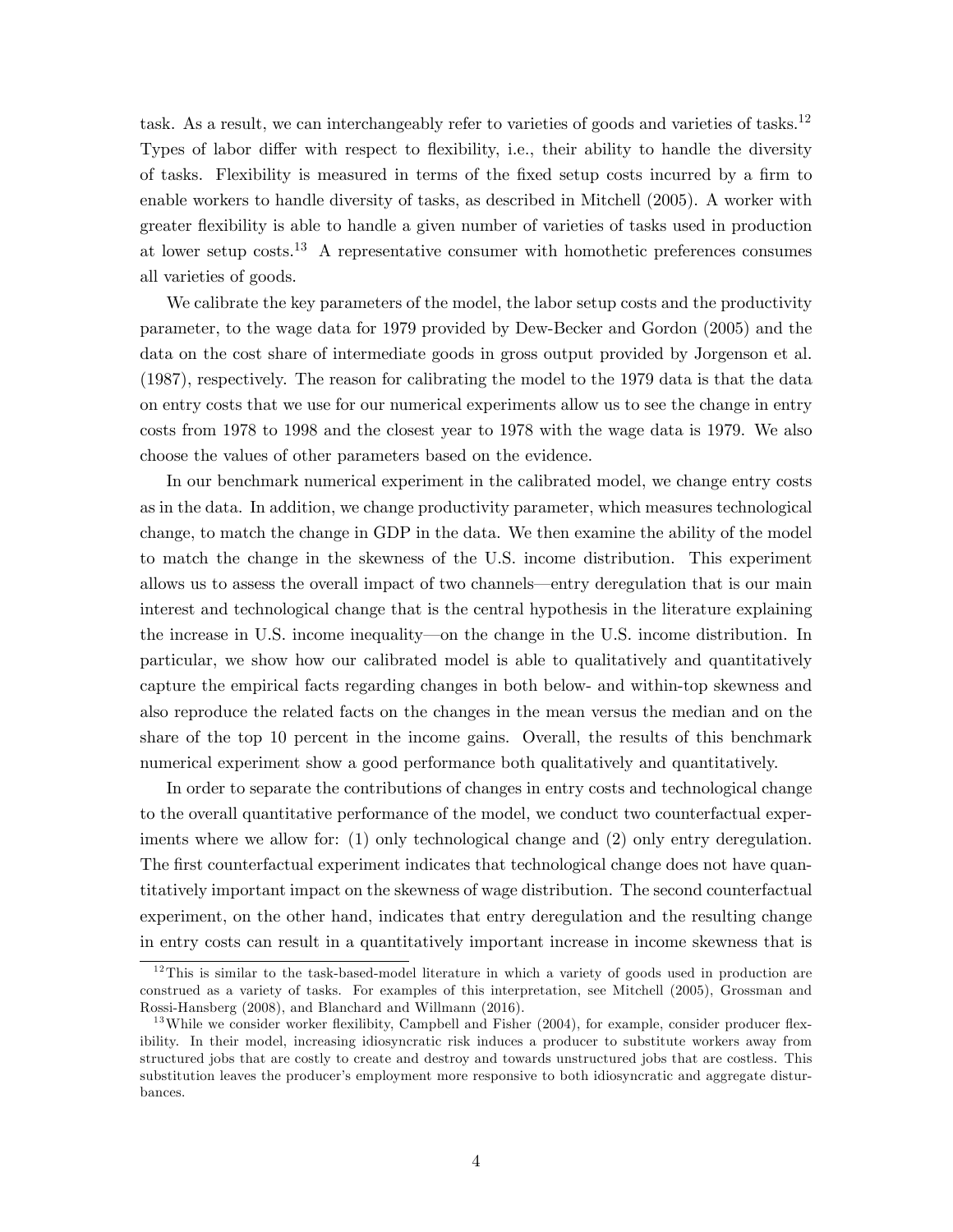task. As a result, we can interchangeably refer to varieties of goods and varieties of tasks.<sup>12</sup> Types of labor differ with respect to flexibility, i.e., their ability to handle the diversity of tasks. Flexibility is measured in terms of the fixed setup costs incurred by a firm to enable workers to handle diversity of tasks, as described in Mitchell (2005). A worker with greater áexibility is able to handle a given number of varieties of tasks used in production at lower setup costs.<sup>13</sup> A representative consumer with homothetic preferences consumes all varieties of goods.

We calibrate the key parameters of the model, the labor setup costs and the productivity parameter, to the wage data for 1979 provided by Dew-Becker and Gordon (2005) and the data on the cost share of intermediate goods in gross output provided by Jorgenson et al. (1987), respectively. The reason for calibrating the model to the 1979 data is that the data on entry costs that we use for our numerical experiments allow us to see the change in entry costs from 1978 to 1998 and the closest year to 1978 with the wage data is 1979. We also choose the values of other parameters based on the evidence.

In our benchmark numerical experiment in the calibrated model, we change entry costs as in the data. In addition, we change productivity parameter, which measures technological change, to match the change in GDP in the data. We then examine the ability of the model to match the change in the skewness of the U.S. income distribution. This experiment allows us to assess the overall impact of two channels—entry deregulation that is our main interest and technological change that is the central hypothesis in the literature explaining the increase in U.S. income inequality—on the change in the U.S. income distribution. In particular, we show how our calibrated model is able to qualitatively and quantitatively capture the empirical facts regarding changes in both below- and within-top skewness and also reproduce the related facts on the changes in the mean versus the median and on the share of the top 10 percent in the income gains. Overall, the results of this benchmark numerical experiment show a good performance both qualitatively and quantitatively.

In order to separate the contributions of changes in entry costs and technological change to the overall quantitative performance of the model, we conduct two counterfactual experiments where we allow for: (1) only technological change and (2) only entry deregulation. The first counterfactual experiment indicates that technological change does not have quantitatively important impact on the skewness of wage distribution. The second counterfactual experiment, on the other hand, indicates that entry deregulation and the resulting change in entry costs can result in a quantitatively important increase in income skewness that is

 $12$ This is similar to the task-based-model literature in which a variety of goods used in production are construed as a variety of tasks. For examples of this interpretation, see Mitchell (2005), Grossman and Rossi-Hansberg (2008), and Blanchard and Willmann (2016).

 $13$  While we consider worker flexilibity, Campbell and Fisher (2004), for example, consider producer flexibility. In their model, increasing idiosyncratic risk induces a producer to substitute workers away from structured jobs that are costly to create and destroy and towards unstructured jobs that are costless. This substitution leaves the producer's employment more responsive to both idiosyncratic and aggregate disturbances.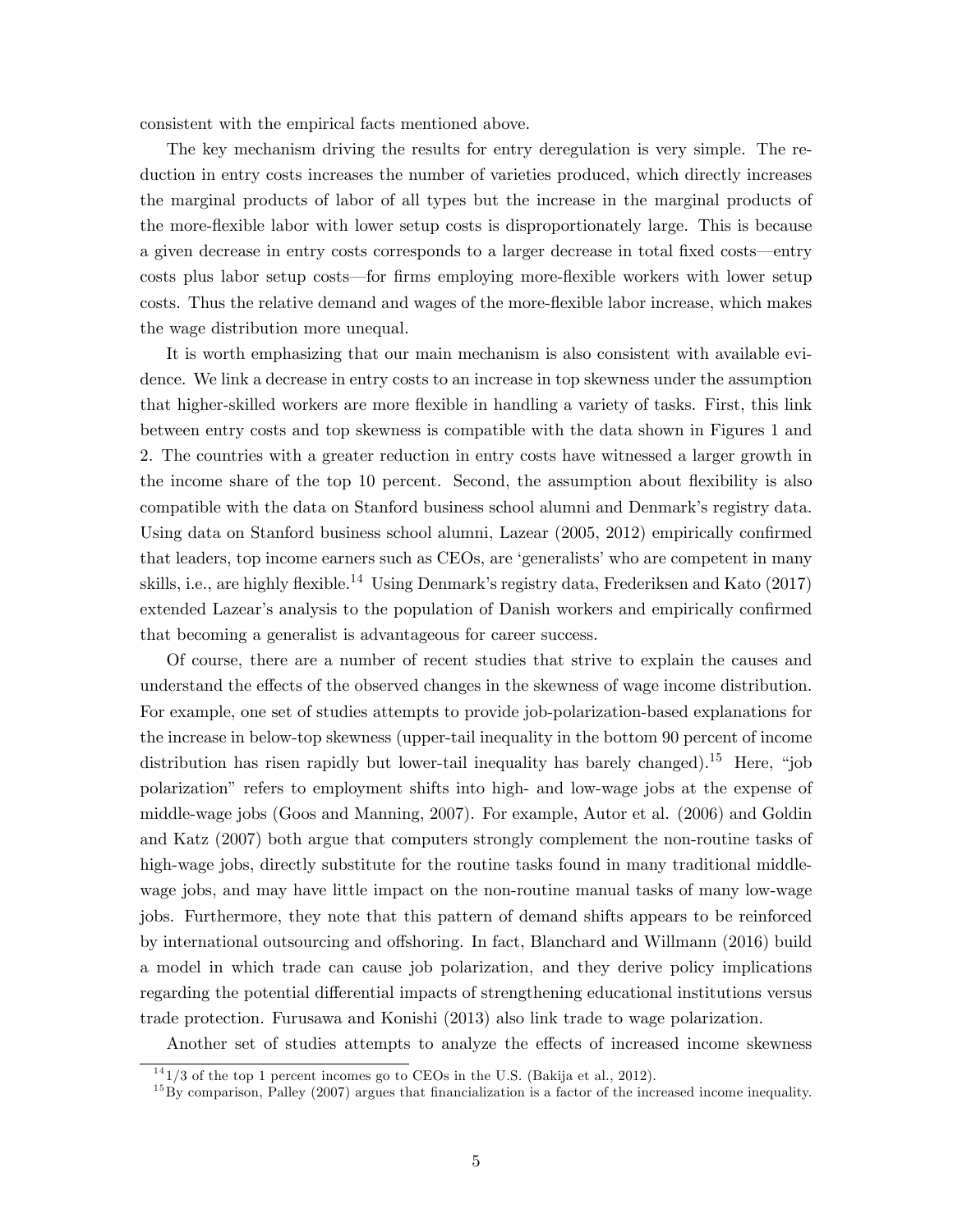consistent with the empirical facts mentioned above.

The key mechanism driving the results for entry deregulation is very simple. The reduction in entry costs increases the number of varieties produced, which directly increases the marginal products of labor of all types but the increase in the marginal products of the more-áexible labor with lower setup costs is disproportionately large. This is because a given decrease in entry costs corresponds to a larger decrease in total fixed costs—entry costs plus labor setup costs—for firms employing more-flexible workers with lower setup costs. Thus the relative demand and wages of the more-áexible labor increase, which makes the wage distribution more unequal.

It is worth emphasizing that our main mechanism is also consistent with available evidence. We link a decrease in entry costs to an increase in top skewness under the assumption that higher-skilled workers are more flexible in handling a variety of tasks. First, this link between entry costs and top skewness is compatible with the data shown in Figures 1 and 2. The countries with a greater reduction in entry costs have witnessed a larger growth in the income share of the top 10 percent. Second, the assumption about flexibility is also compatible with the data on Stanford business school alumni and Denmark's registry data. Using data on Stanford business school alumni, Lazear  $(2005, 2012)$  empirically confirmed that leaders, top income earners such as CEOs, are 'generalists' who are competent in many skills, i.e., are highly flexible.<sup>14</sup> Using Denmark's registry data, Frederiksen and Kato (2017) extended Lazear's analysis to the population of Danish workers and empirically confirmed that becoming a generalist is advantageous for career success.

Of course, there are a number of recent studies that strive to explain the causes and understand the effects of the observed changes in the skewness of wage income distribution. For example, one set of studies attempts to provide job-polarization-based explanations for the increase in below-top skewness (upper-tail inequality in the bottom 90 percent of income distribution has risen rapidly but lower-tail inequality has barely changed).<sup>15</sup> Here, "job polarizationî refers to employment shifts into high- and low-wage jobs at the expense of middle-wage jobs (Goos and Manning, 2007). For example, Autor et al. (2006) and Goldin and Katz (2007) both argue that computers strongly complement the non-routine tasks of high-wage jobs, directly substitute for the routine tasks found in many traditional middlewage jobs, and may have little impact on the non-routine manual tasks of many low-wage jobs. Furthermore, they note that this pattern of demand shifts appears to be reinforced by international outsourcing and offshoring. In fact, Blanchard and Willmann (2016) build a model in which trade can cause job polarization, and they derive policy implications regarding the potential differential impacts of strengthening educational institutions versus trade protection. Furusawa and Konishi (2013) also link trade to wage polarization.

Another set of studies attempts to analyze the effects of increased income skewness

 $141/3$  of the top 1 percent incomes go to CEOs in the U.S. (Bakija et al., 2012).

 $^{15}$ By comparison, Palley (2007) argues that financialization is a factor of the increased income inequality.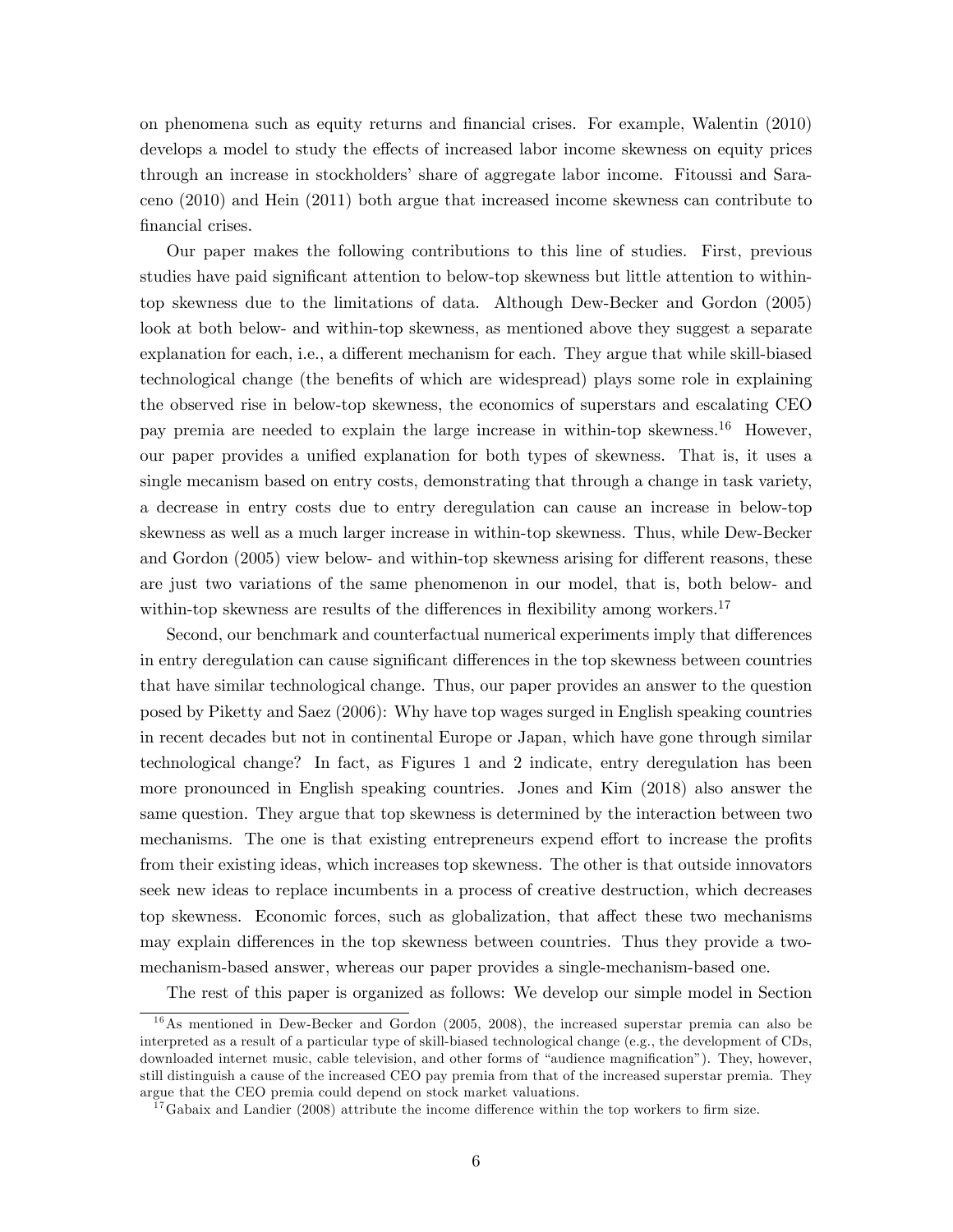on phenomena such as equity returns and Önancial crises. For example, Walentin (2010) develops a model to study the effects of increased labor income skewness on equity prices through an increase in stockholdersí share of aggregate labor income. Fitoussi and Saraceno (2010) and Hein (2011) both argue that increased income skewness can contribute to financial crises.

Our paper makes the following contributions to this line of studies. First, previous studies have paid significant attention to below-top skewness but little attention to withintop skewness due to the limitations of data. Although Dew-Becker and Gordon (2005) look at both below- and within-top skewness, as mentioned above they suggest a separate explanation for each, i.e., a different mechanism for each. They argue that while skill-biased technological change (the benefits of which are widespread) plays some role in explaining the observed rise in below-top skewness, the economics of superstars and escalating CEO pay premia are needed to explain the large increase in within-top skewness.<sup>16</sup> However, our paper provides a unified explanation for both types of skewness. That is, it uses a single mecanism based on entry costs, demonstrating that through a change in task variety, a decrease in entry costs due to entry deregulation can cause an increase in below-top skewness as well as a much larger increase in within-top skewness. Thus, while Dew-Becker and Gordon (2005) view below- and within-top skewness arising for different reasons, these are just two variations of the same phenomenon in our model, that is, both below- and within-top skewness are results of the differences in flexibility among workers.<sup>17</sup>

Second, our benchmark and counterfactual numerical experiments imply that differences in entry deregulation can cause significant differences in the top skewness between countries that have similar technological change. Thus, our paper provides an answer to the question posed by Piketty and Saez (2006): Why have top wages surged in English speaking countries in recent decades but not in continental Europe or Japan, which have gone through similar technological change? In fact, as Figures 1 and 2 indicate, entry deregulation has been more pronounced in English speaking countries. Jones and Kim (2018) also answer the same question. They argue that top skewness is determined by the interaction between two mechanisms. The one is that existing entrepreneurs expend effort to increase the profits from their existing ideas, which increases top skewness. The other is that outside innovators seek new ideas to replace incumbents in a process of creative destruction, which decreases top skewness. Economic forces, such as globalization, that affect these two mechanisms may explain differences in the top skewness between countries. Thus they provide a twomechanism-based answer, whereas our paper provides a single-mechanism-based one.

The rest of this paper is organized as follows: We develop our simple model in Section

 $16$ As mentioned in Dew-Becker and Gordon (2005, 2008), the increased superstar premia can also be interpreted as a result of a particular type of skill-biased technological change (e.g., the development of CDs, downloaded internet music, cable television, and other forms of "audience magnification"). They, however, still distinguish a cause of the increased CEO pay premia from that of the increased superstar premia. They argue that the CEO premia could depend on stock market valuations.

 $17$  Gabaix and Landier (2008) attribute the income difference within the top workers to firm size.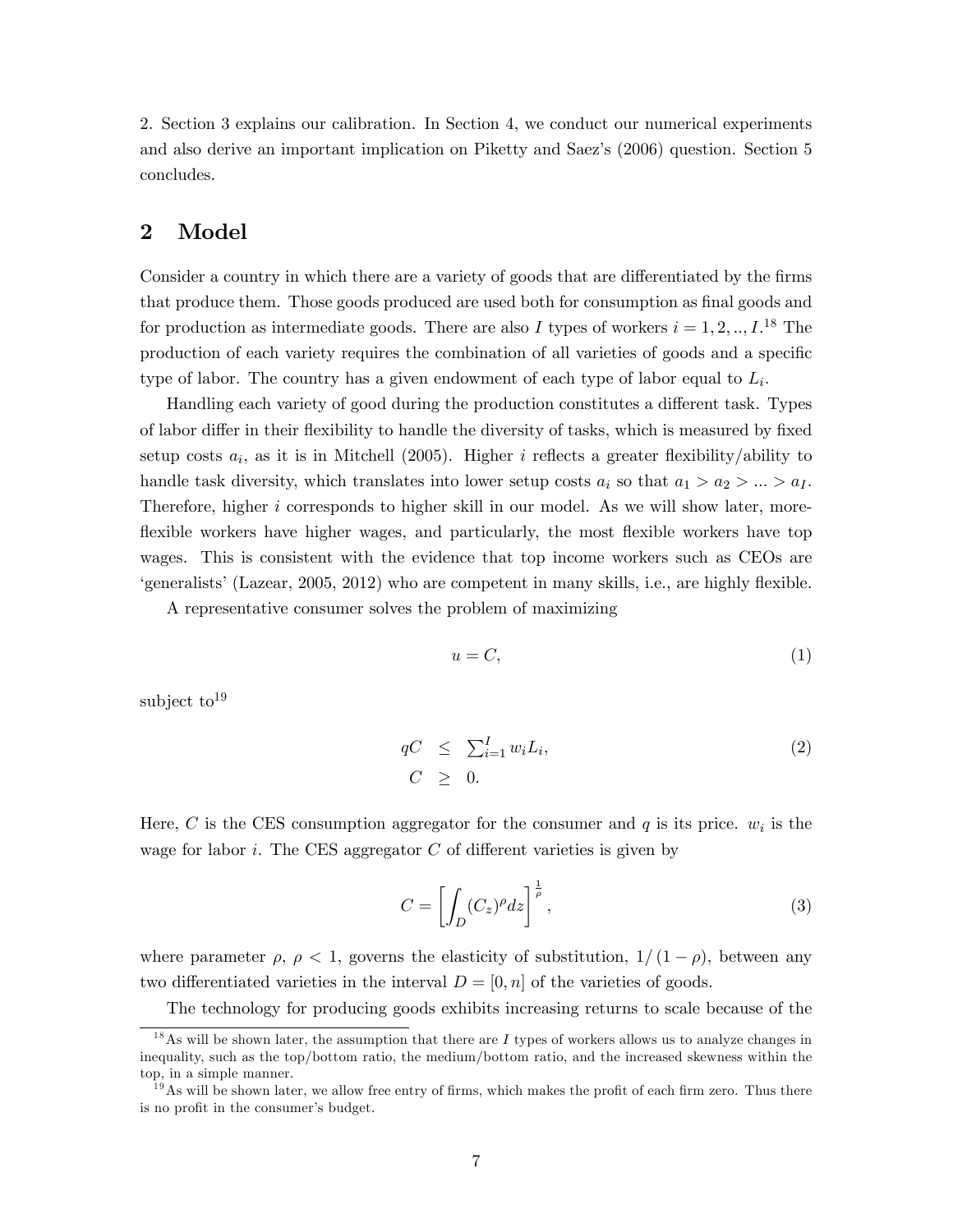2. Section 3 explains our calibration. In Section 4, we conduct our numerical experiments and also derive an important implication on Piketty and Saezís (2006) question. Section 5 concludes.

## 2 Model

Consider a country in which there are a variety of goods that are differentiated by the firms that produce them. Those goods produced are used both for consumption as final goods and for production as intermediate goods. There are also I types of workers  $i = 1, 2, ..., I$ <sup>18</sup> The production of each variety requires the combination of all varieties of goods and a specific type of labor. The country has a given endowment of each type of labor equal to  $L_i$ .

Handling each variety of good during the production constitutes a different task. Types of labor differ in their flexibility to handle the diversity of tasks, which is measured by fixed setup costs  $a_i$ , as it is in Mitchell (2005). Higher *i* reflects a greater flexibility/ability to handle task diversity, which translates into lower setup costs  $a_i$  so that  $a_1 > a_2 > ... > a_I$ . Therefore, higher i corresponds to higher skill in our model. As we will show later, moreflexible workers have higher wages, and particularly, the most flexible workers have top wages. This is consistent with the evidence that top income workers such as CEOs are  $\gamma$  egeneralists' (Lazear, 2005, 2012) who are competent in many skills, i.e., are highly flexible.

A representative consumer solves the problem of maximizing

$$
u = C,\t\t(1)
$$

subject to  $19$ 

$$
qC \leq \sum_{i=1}^{I} w_i L_i,
$$
  
\n
$$
C \geq 0.
$$
\n(2)

Here, C is the CES consumption aggregator for the consumer and  $q$  is its price.  $w_i$  is the wage for labor i. The CES aggregator  $C$  of different varieties is given by

$$
C = \left[ \int_D (C_z)^{\rho} dz \right]^{\frac{1}{\rho}}, \tag{3}
$$

where parameter  $\rho, \rho < 1$ , governs the elasticity of substitution,  $1/(1 - \rho)$ , between any two differentiated varieties in the interval  $D = [0, n]$  of the varieties of goods.

The technology for producing goods exhibits increasing returns to scale because of the

<sup>&</sup>lt;sup>18</sup>As will be shown later, the assumption that there are I types of workers allows us to analyze changes in inequality, such as the top/bottom ratio, the medium/bottom ratio, and the increased skewness within the top, in a simple manner.

 $19$ As will be shown later, we allow free entry of firms, which makes the profit of each firm zero. Thus there is no profit in the consumer's budget.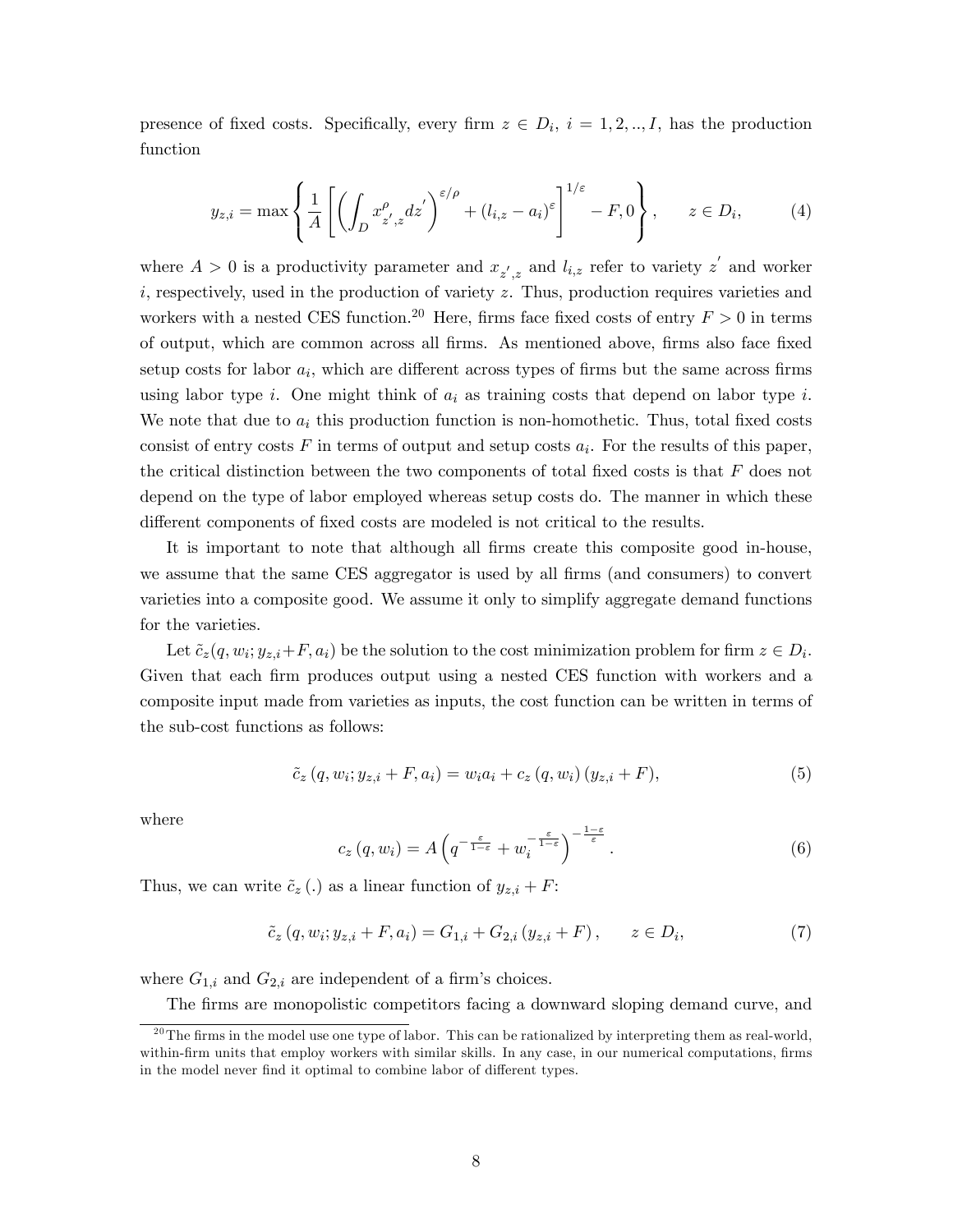presence of fixed costs. Specifically, every firm  $z \in D_i$ ,  $i = 1, 2, ..., I$ , has the production function

$$
y_{z,i} = \max\left\{\frac{1}{A} \left[ \left( \int_D x_{z',z}^{\rho} dz' \right)^{\varepsilon/\rho} + (l_{i,z} - a_i)^{\varepsilon} \right]^{1/\varepsilon} - F, 0 \right\}, \qquad z \in D_i, \tag{4}
$$

where  $A > 0$  is a productivity parameter and  $x_{z',z}$  and  $l_{i,z}$  refer to variety  $z'$  and worker  $i$ , respectively, used in the production of variety z. Thus, production requires varieties and workers with a nested CES function.<sup>20</sup> Here, firms face fixed costs of entry  $F > 0$  in terms of output, which are common across all Örms. As mentioned above, Örms also face Öxed setup costs for labor  $a_i$ , which are different across types of firms but the same across firms using labor type i. One might think of  $a_i$  as training costs that depend on labor type i. We note that due to  $a_i$  this production function is non-homothetic. Thus, total fixed costs consist of entry costs  $F$  in terms of output and setup costs  $a_i$ . For the results of this paper, the critical distinction between the two components of total fixed costs is that  $F$  does not depend on the type of labor employed whereas setup costs do. The manner in which these different components of fixed costs are modeled is not critical to the results.

It is important to note that although all firms create this composite good in-house, we assume that the same CES aggregator is used by all firms (and consumers) to convert varieties into a composite good. We assume it only to simplify aggregate demand functions for the varieties.

Let  $\tilde{c}_z(q, w_i; y_{z,i} + F, a_i)$  be the solution to the cost minimization problem for firm  $z \in D_i$ . Given that each firm produces output using a nested CES function with workers and a composite input made from varieties as inputs, the cost function can be written in terms of the sub-cost functions as follows:

$$
\tilde{c}_z (q, w_i; y_{z,i} + F, a_i) = w_i a_i + c_z (q, w_i) (y_{z,i} + F), \tag{5}
$$

where

$$
c_z(q, w_i) = A\left(q^{-\frac{\varepsilon}{1-\varepsilon}} + w_i^{-\frac{\varepsilon}{1-\varepsilon}}\right)^{-\frac{1-\varepsilon}{\varepsilon}}.
$$
\n
$$
(6)
$$

Thus, we can write  $\tilde{c}_z$  (.) as a linear function of  $y_{z,i} + F$ :

$$
\tilde{c}_z (q, w_i; y_{z,i} + F, a_i) = G_{1,i} + G_{2,i} (y_{z,i} + F), \qquad z \in D_i,
$$
\n(7)

where  $G_{1,i}$  and  $G_{2,i}$  are independent of a firm's choices.

The firms are monopolistic competitors facing a downward sloping demand curve, and

 $^{20}$ The firms in the model use one type of labor. This can be rationalized by interpreting them as real-world, within-firm units that employ workers with similar skills. In any case, in our numerical computations, firms in the model never find it optimal to combine labor of different types.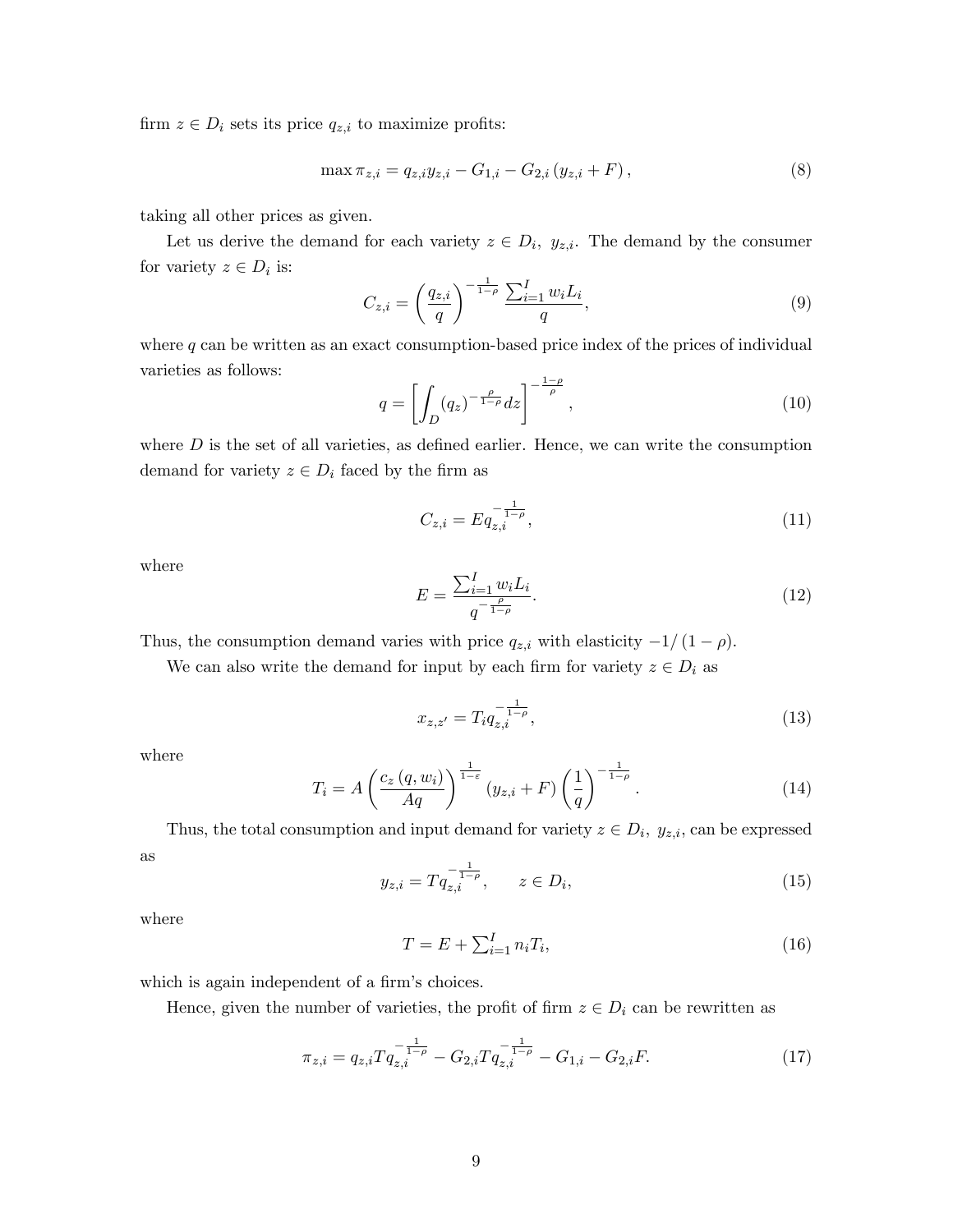firm  $z \in D_i$  sets its price  $q_{z,i}$  to maximize profits:

$$
\max \pi_{z,i} = q_{z,i} y_{z,i} - G_{1,i} - G_{2,i} (y_{z,i} + F), \tag{8}
$$

taking all other prices as given.

Let us derive the demand for each variety  $z \in D_i$ ,  $y_{z,i}$ . The demand by the consumer for variety  $z \in D_i$  is:

$$
C_{z,i} = \left(\frac{q_{z,i}}{q}\right)^{-\frac{1}{1-\rho}} \frac{\sum_{i=1}^{I} w_i L_i}{q},\tag{9}
$$

where  $q$  can be written as an exact consumption-based price index of the prices of individual varieties as follows:

$$
q = \left[ \int_D (q_z)^{-\frac{\rho}{1-\rho}} dz \right]^{-\frac{1-\rho}{\rho}}, \tag{10}
$$

where  $D$  is the set of all varieties, as defined earlier. Hence, we can write the consumption demand for variety  $z \in D_i$  faced by the firm as

$$
C_{z,i} = Eq_{z,i}^{-\frac{1}{1-\rho}},\tag{11}
$$

where

$$
E = \frac{\sum_{i=1}^{I} w_i L_i}{q^{-\frac{\rho}{1-\rho}}}.
$$
\n(12)

Thus, the consumption demand varies with price  $q_{z,i}$  with elasticity  $-1/(1 - \rho)$ .

We can also write the demand for input by each firm for variety  $z \in D_i$  as

$$
x_{z,z'} = T_i q_{z,i}^{-\frac{1}{1-\rho}},\tag{13}
$$

where

$$
T_i = A \left( \frac{c_z(q, w_i)}{Aq} \right)^{\frac{1}{1-\epsilon}} (y_{z,i} + F) \left( \frac{1}{q} \right)^{-\frac{1}{1-\rho}}.
$$
 (14)

Thus, the total consumption and input demand for variety  $z \in D_i$ ,  $y_{z,i}$ , can be expressed as

$$
y_{z,i} = T q_{z,i}^{-\frac{1}{1-\rho}}, \qquad z \in D_i,\tag{15}
$$

where

$$
T = E + \sum_{i=1}^{I} n_i T_i,
$$
\n<sup>(16)</sup>

which is again independent of a firm's choices.

Hence, given the number of varieties, the profit of firm  $z \in D_i$  can be rewritten as

$$
\pi_{z,i} = q_{z,i} T q_{z,i}^{-\frac{1}{1-\rho}} - G_{2,i} T q_{z,i}^{-\frac{1}{1-\rho}} - G_{1,i} - G_{2,i} F.
$$
\n(17)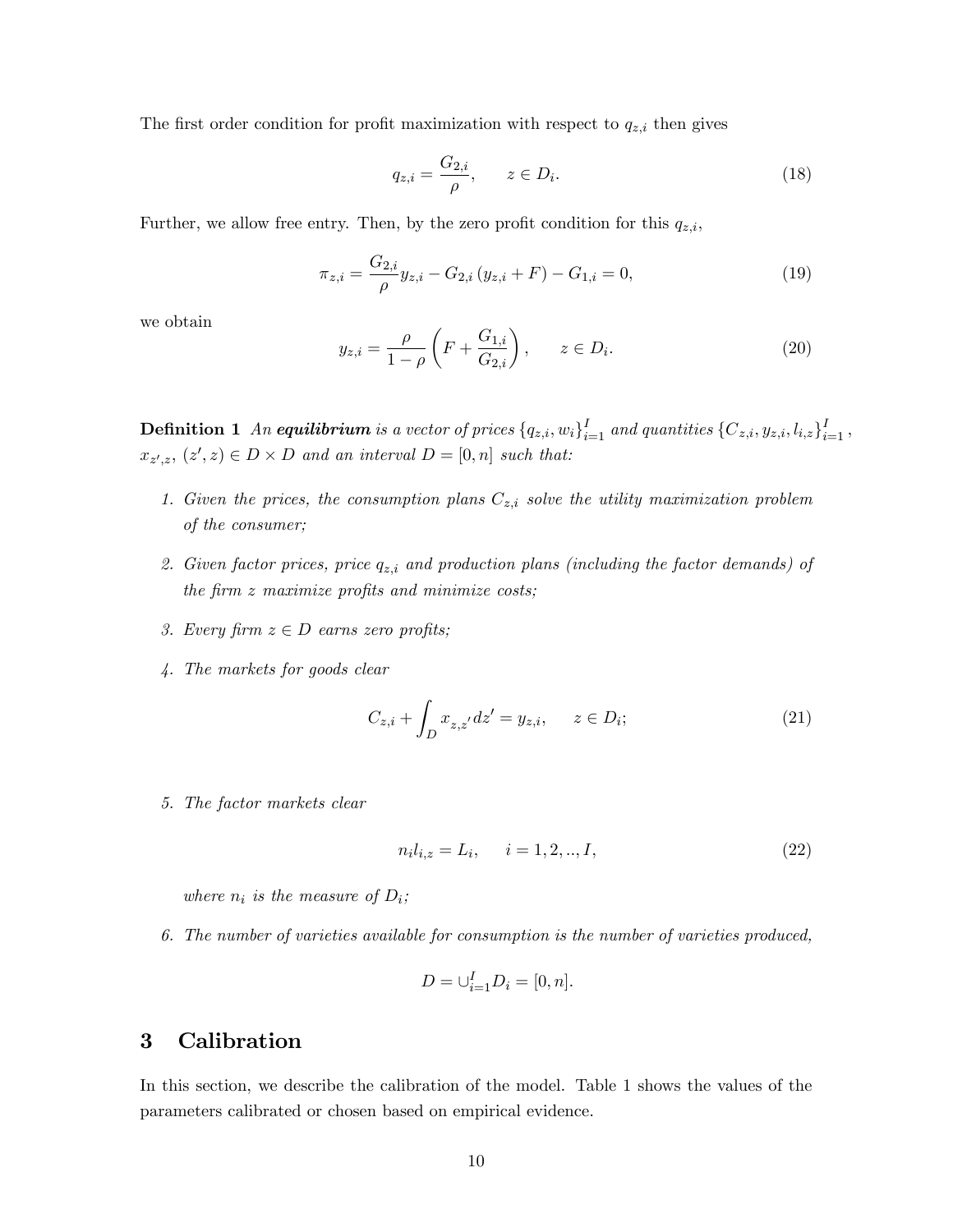The first order condition for profit maximization with respect to  $q_{z,i}$  then gives

$$
q_{z,i} = \frac{G_{2,i}}{\rho}, \qquad z \in D_i.
$$
\n
$$
(18)
$$

Further, we allow free entry. Then, by the zero profit condition for this  $q_{z,i}$ ,

$$
\pi_{z,i} = \frac{G_{2,i}}{\rho} y_{z,i} - G_{2,i} (y_{z,i} + F) - G_{1,i} = 0,
$$
\n(19)

we obtain

$$
y_{z,i} = \frac{\rho}{1 - \rho} \left( F + \frac{G_{1,i}}{G_{2,i}} \right), \qquad z \in D_i.
$$
 (20)

**Definition 1** An **equilibrium** is a vector of prices  $\{q_{z,i}, w_i\}_{i=1}^I$  and quantities  $\{C_{z,i}, y_{z,i}, l_{i,z}\}_{i=1}^I$ ,  $x_{z',z}, (z',z) \in D \times D$  and an interval  $D = [0,n]$  such that:

- 1. Given the prices, the consumption plans  $C_{z,i}$  solve the utility maximization problem of the consumer;
- 2. Given factor prices, price  $q_{z,i}$  and production plans (including the factor demands) of the firm  $z$  maximize profits and minimize costs;
- 3. Every firm  $z \in D$  earns zero profits;
- 4. The markets for goods clear

$$
C_{z,i} + \int_{D} x_{z,z'} dz' = y_{z,i}, \qquad z \in D_i;
$$
 (21)

5. The factor markets clear

$$
n_i l_{i,z} = L_i, \quad i = 1, 2, ..., I,
$$
\n(22)

where  $n_i$  is the measure of  $D_i$ ;

6. The number of varieties available for consumption is the number of varieties produced,

$$
D = \bigcup_{i=1}^{I} D_i = [0, n].
$$

#### 3 Calibration

In this section, we describe the calibration of the model. Table 1 shows the values of the parameters calibrated or chosen based on empirical evidence.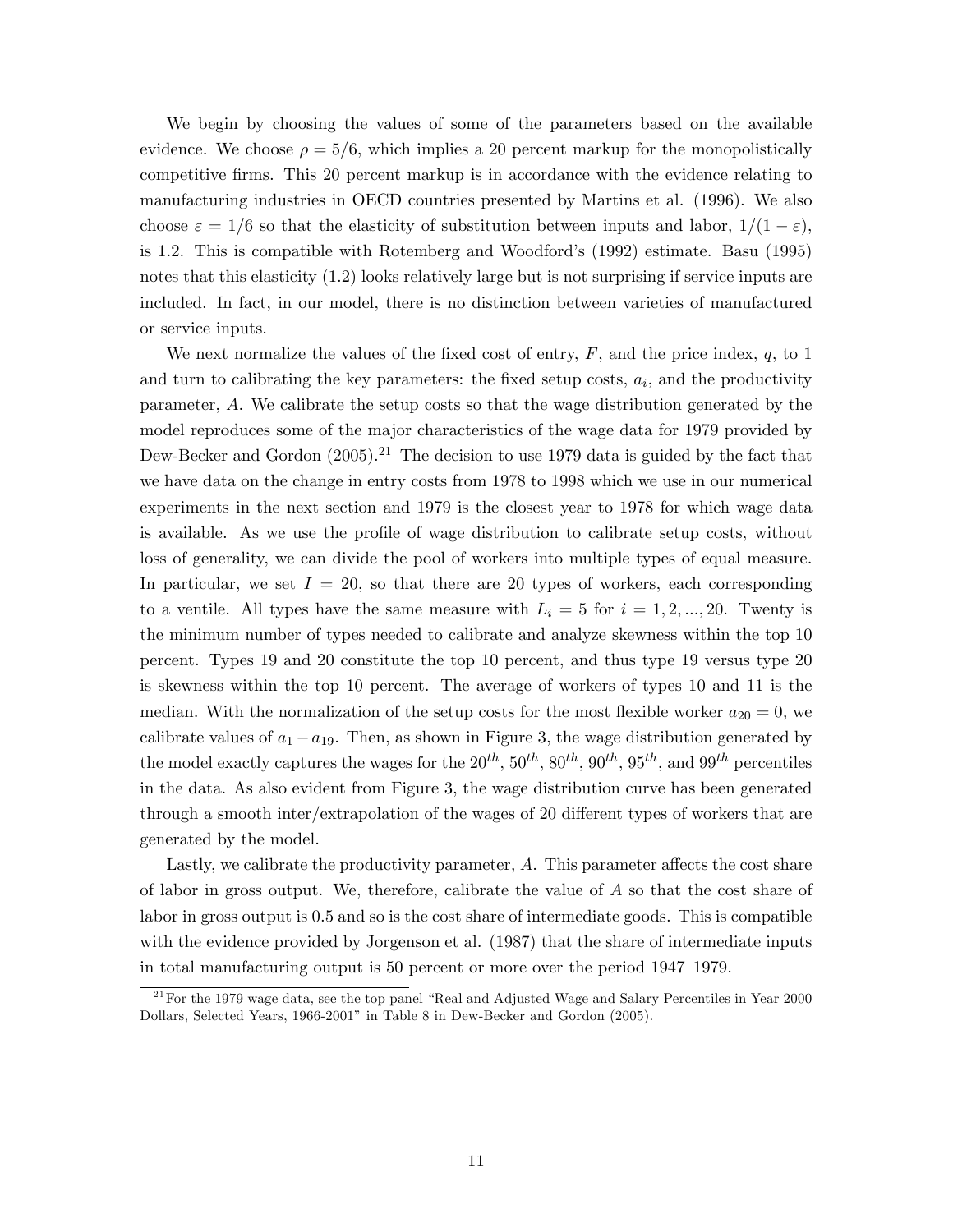We begin by choosing the values of some of the parameters based on the available evidence. We choose  $\rho = 5/6$ , which implies a 20 percent markup for the monopolistically competitive firms. This 20 percent markup is in accordance with the evidence relating to manufacturing industries in OECD countries presented by Martins et al. (1996). We also choose  $\varepsilon = 1/6$  so that the elasticity of substitution between inputs and labor,  $1/(1 - \varepsilon)$ , is 1.2. This is compatible with Rotemberg and Woodford's (1992) estimate. Basu (1995) notes that this elasticity (1.2) looks relatively large but is not surprising if service inputs are included. In fact, in our model, there is no distinction between varieties of manufactured or service inputs.

We next normalize the values of the fixed cost of entry,  $F$ , and the price index,  $q$ , to 1 and turn to calibrating the key parameters: the fixed setup costs,  $a_i$ , and the productivity parameter, A. We calibrate the setup costs so that the wage distribution generated by the model reproduces some of the major characteristics of the wage data for 1979 provided by Dew-Becker and Gordon  $(2005)$ .<sup>21</sup> The decision to use 1979 data is guided by the fact that we have data on the change in entry costs from 1978 to 1998 which we use in our numerical experiments in the next section and 1979 is the closest year to 1978 for which wage data is available. As we use the profile of wage distribution to calibrate setup costs, without loss of generality, we can divide the pool of workers into multiple types of equal measure. In particular, we set  $I = 20$ , so that there are 20 types of workers, each corresponding to a ventile. All types have the same measure with  $L_i = 5$  for  $i = 1, 2, ..., 20$ . Twenty is the minimum number of types needed to calibrate and analyze skewness within the top 10 percent. Types 19 and 20 constitute the top 10 percent, and thus type 19 versus type 20 is skewness within the top 10 percent. The average of workers of types 10 and 11 is the median. With the normalization of the setup costs for the most flexible worker  $a_{20} = 0$ , we calibrate values of  $a_1 - a_{19}$ . Then, as shown in Figure 3, the wage distribution generated by the model exactly captures the wages for the  $20^{th}$ ,  $50^{th}$ ,  $80^{th}$ ,  $90^{th}$ ,  $95^{th}$ , and  $99^{th}$  percentiles in the data. As also evident from Figure 3, the wage distribution curve has been generated through a smooth inter/extrapolation of the wages of 20 different types of workers that are generated by the model.

Lastly, we calibrate the productivity parameter,  $A$ . This parameter affects the cost share of labor in gross output. We, therefore, calibrate the value of A so that the cost share of labor in gross output is 0.5 and so is the cost share of intermediate goods. This is compatible with the evidence provided by Jorgenson et al. (1987) that the share of intermediate inputs in total manufacturing output is 50 percent or more over the period 1947–1979.

 $21$  For the 1979 wage data, see the top panel "Real and Adjusted Wage and Salary Percentiles in Year 2000 Dollars, Selected Years, 1966-2001" in Table 8 in Dew-Becker and Gordon (2005).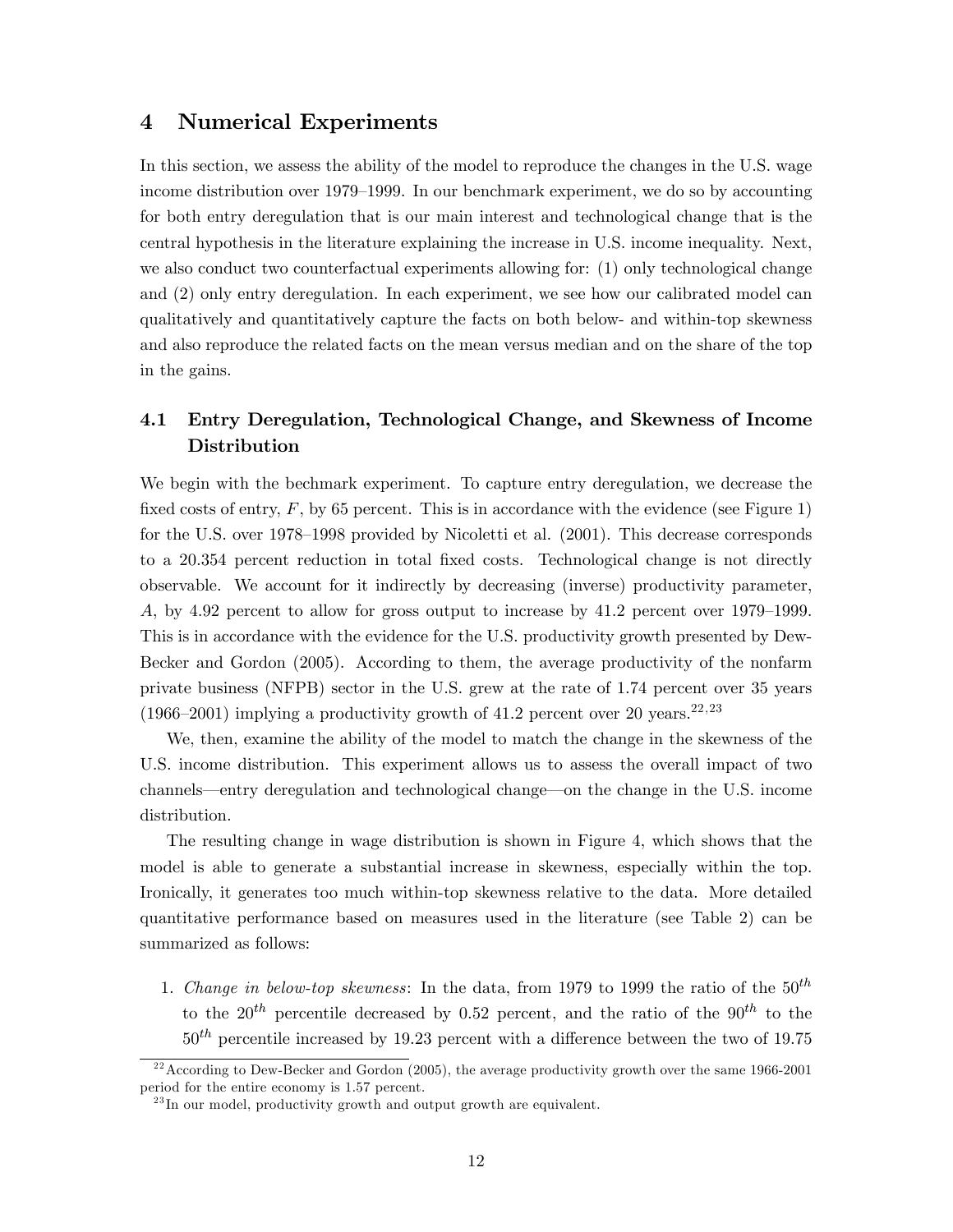### 4 Numerical Experiments

In this section, we assess the ability of the model to reproduce the changes in the U.S. wage income distribution over 1979–1999. In our benchmark experiment, we do so by accounting for both entry deregulation that is our main interest and technological change that is the central hypothesis in the literature explaining the increase in U.S. income inequality. Next, we also conduct two counterfactual experiments allowing for: (1) only technological change and (2) only entry deregulation. In each experiment, we see how our calibrated model can qualitatively and quantitatively capture the facts on both below- and within-top skewness and also reproduce the related facts on the mean versus median and on the share of the top in the gains.

# 4.1 Entry Deregulation, Technological Change, and Skewness of Income Distribution

We begin with the bechmark experiment. To capture entry deregulation, we decrease the fixed costs of entry,  $F$ , by 65 percent. This is in accordance with the evidence (see Figure 1) for the U.S. over  $1978-1998$  provided by Nicoletti et al.  $(2001)$ . This decrease corresponds to a 20.354 percent reduction in total fixed costs. Technological change is not directly observable. We account for it indirectly by decreasing (inverse) productivity parameter, A, by 4.92 percent to allow for gross output to increase by  $41.2$  percent over 1979–1999. This is in accordance with the evidence for the U.S. productivity growth presented by Dew-Becker and Gordon (2005). According to them, the average productivity of the nonfarm private business (NFPB) sector in the U.S. grew at the rate of 1.74 percent over 35 years (1966–2001) implying a productivity growth of 41.2 percent over 20 years.<sup>22,23</sup>

We, then, examine the ability of the model to match the change in the skewness of the U.S. income distribution. This experiment allows us to assess the overall impact of two channels—entry deregulation and technological change—on the change in the U.S. income distribution.

The resulting change in wage distribution is shown in Figure 4, which shows that the model is able to generate a substantial increase in skewness, especially within the top. Ironically, it generates too much within-top skewness relative to the data. More detailed quantitative performance based on measures used in the literature (see Table 2) can be summarized as follows:

1. Change in below-top skewness: In the data, from 1979 to 1999 the ratio of the  $50^{th}$ to the  $20^{th}$  percentile decreased by 0.52 percent, and the ratio of the  $90^{th}$  to the  $50<sup>th</sup>$  percentile increased by 19.23 percent with a difference between the two of 19.75

 $^{22}$  According to Dew-Becker and Gordon (2005), the average productivity growth over the same 1966-2001 period for the entire economy is 1.57 percent.

 $^{23}$ In our model, productivity growth and output growth are equivalent.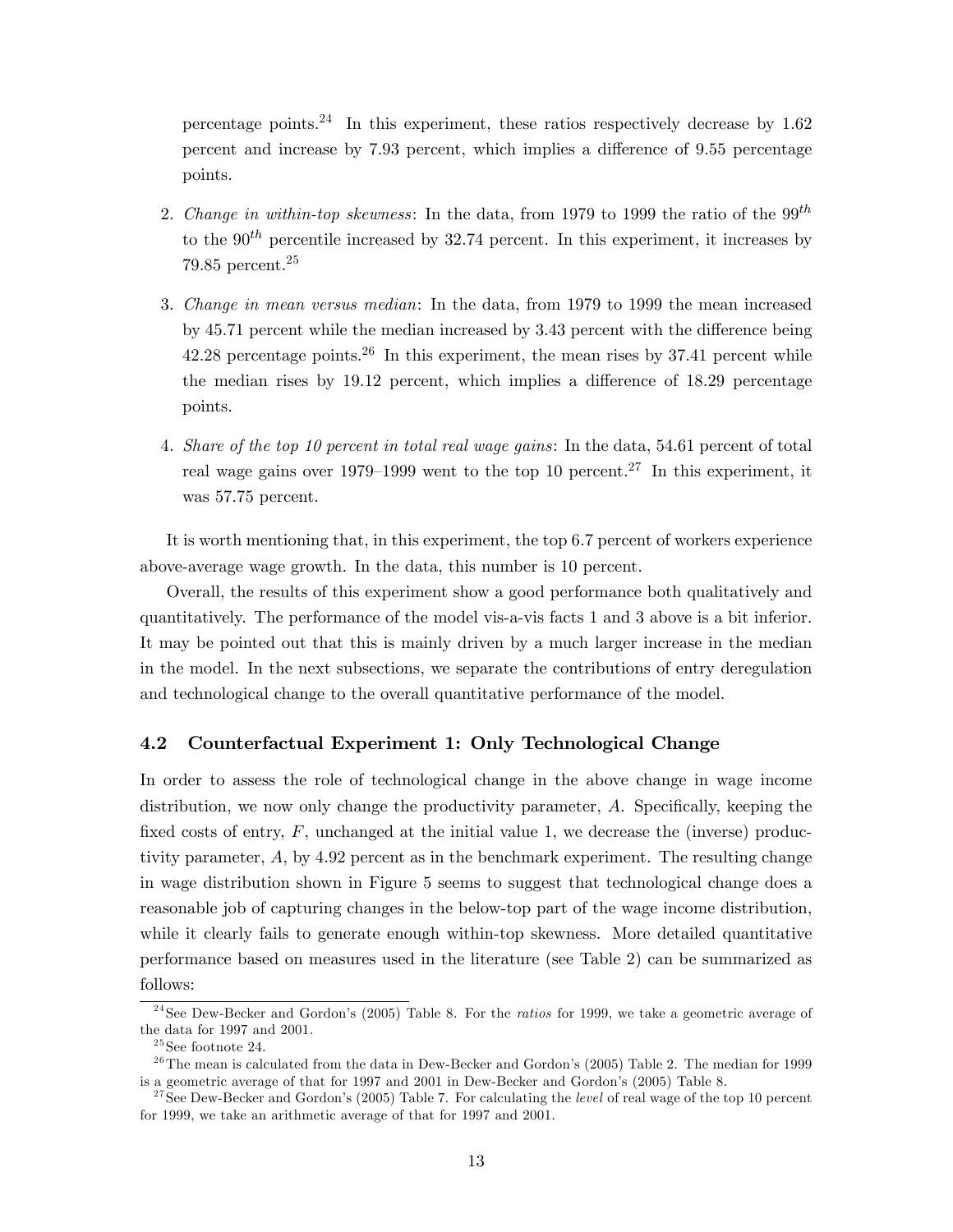percentage points.<sup>24</sup> In this experiment, these ratios respectively decrease by  $1.62$ percent and increase by 7.93 percent, which implies a difference of 9.55 percentage points.

- 2. Change in within-top skewness: In the data, from 1979 to 1999 the ratio of the  $99^{th}$ to the  $90<sup>th</sup>$  percentile increased by 32.74 percent. In this experiment, it increases by 79.85 percent. $25$
- 3. Change in mean versus median: In the data, from 1979 to 1999 the mean increased by  $45.71$  percent while the median increased by  $3.43$  percent with the difference being 42.28 percentage points.<sup>26</sup> In this experiment, the mean rises by 37.41 percent while the median rises by  $19.12$  percent, which implies a difference of  $18.29$  percentage points.
- 4. Share of the top 10 percent in total real wage gains: In the data, 54.61 percent of total real wage gains over 1979–1999 went to the top 10 percent.<sup>27</sup> In this experiment, it was 57.75 percent.

It is worth mentioning that, in this experiment, the top 6.7 percent of workers experience above-average wage growth. In the data, this number is 10 percent.

Overall, the results of this experiment show a good performance both qualitatively and quantitatively. The performance of the model vis-a-vis facts 1 and 3 above is a bit inferior. It may be pointed out that this is mainly driven by a much larger increase in the median in the model. In the next subsections, we separate the contributions of entry deregulation and technological change to the overall quantitative performance of the model.

#### 4.2 Counterfactual Experiment 1: Only Technological Change

In order to assess the role of technological change in the above change in wage income distribution, we now only change the productivity parameter,  $A$ . Specifically, keeping the fixed costs of entry,  $F$ , unchanged at the initial value 1, we decrease the (inverse) productivity parameter, A, by 4.92 percent as in the benchmark experiment. The resulting change in wage distribution shown in Figure 5 seems to suggest that technological change does a reasonable job of capturing changes in the below-top part of the wage income distribution, while it clearly fails to generate enough within-top skewness. More detailed quantitative performance based on measures used in the literature (see Table 2) can be summarized as follows:

<sup>&</sup>lt;sup>24</sup> See Dew-Becker and Gordon's (2005) Table 8. For the *ratios* for 1999, we take a geometric average of the data for 1997 and 2001.

 $^{25}\mathrm{See}$  footnote 24.

<sup>&</sup>lt;sup>26</sup>The mean is calculated from the data in Dew-Becker and Gordon's (2005) Table 2. The median for 1999 is a geometric average of that for 1997 and 2001 in Dew-Becker and Gordon's (2005) Table 8.

<sup>&</sup>lt;sup>27</sup>See Dew-Becker and Gordon's (2005) Table 7. For calculating the *level* of real wage of the top 10 percent for 1999, we take an arithmetic average of that for 1997 and 2001.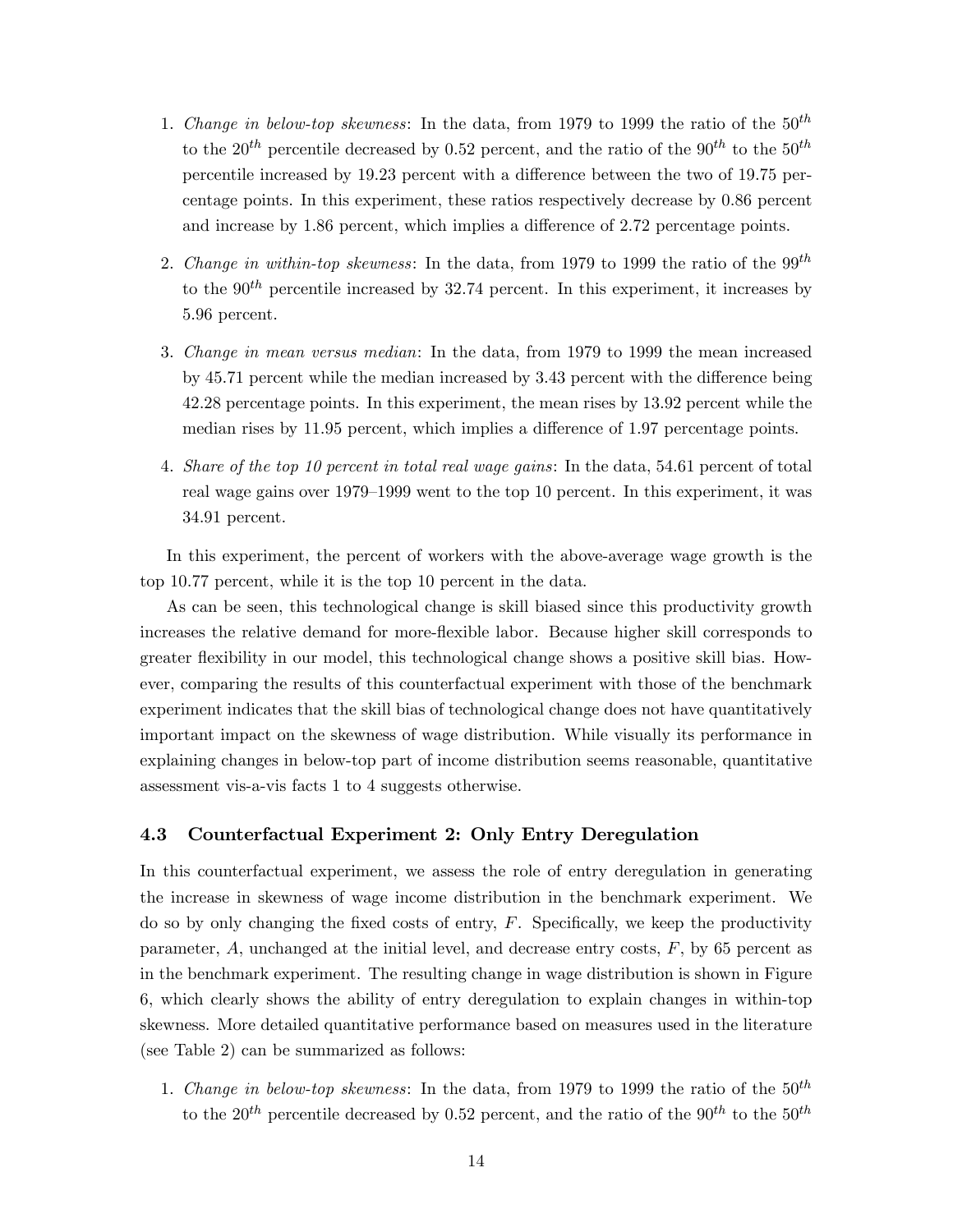- 1. Change in below-top skewness: In the data, from 1979 to 1999 the ratio of the  $50^{th}$ to the 20<sup>th</sup> percentile decreased by 0.52 percent, and the ratio of the 90<sup>th</sup> to the 50<sup>th</sup> percentile increased by  $19.23$  percent with a difference between the two of 19.75 percentage points. In this experiment, these ratios respectively decrease by 0.86 percent and increase by  $1.86$  percent, which implies a difference of  $2.72$  percentage points.
- 2. Change in within-top skewness: In the data, from 1979 to 1999 the ratio of the  $99^{th}$ to the  $90<sup>th</sup>$  percentile increased by 32.74 percent. In this experiment, it increases by 5.96 percent.
- 3. Change in mean versus median: In the data, from 1979 to 1999 the mean increased by  $45.71$  percent while the median increased by  $3.43$  percent with the difference being 42.28 percentage points. In this experiment, the mean rises by 13.92 percent while the median rises by 11.95 percent, which implies a difference of 1.97 percentage points.
- 4. Share of the top 10 percent in total real wage gains: In the data, 54.61 percent of total real wage gains over  $1979-1999$  went to the top 10 percent. In this experiment, it was 34.91 percent.

In this experiment, the percent of workers with the above-average wage growth is the top 10.77 percent, while it is the top 10 percent in the data.

As can be seen, this technological change is skill biased since this productivity growth increases the relative demand for more-flexible labor. Because higher skill corresponds to greater flexibility in our model, this technological change shows a positive skill bias. However, comparing the results of this counterfactual experiment with those of the benchmark experiment indicates that the skill bias of technological change does not have quantitatively important impact on the skewness of wage distribution. While visually its performance in explaining changes in below-top part of income distribution seems reasonable, quantitative assessment vis-a-vis facts 1 to 4 suggests otherwise.

#### 4.3 Counterfactual Experiment 2: Only Entry Deregulation

In this counterfactual experiment, we assess the role of entry deregulation in generating the increase in skewness of wage income distribution in the benchmark experiment. We do so by only changing the fixed costs of entry,  $F$ . Specifically, we keep the productivity parameter,  $A$ , unchanged at the initial level, and decrease entry costs,  $F$ , by 65 percent as in the benchmark experiment. The resulting change in wage distribution is shown in Figure 6, which clearly shows the ability of entry deregulation to explain changes in within-top skewness. More detailed quantitative performance based on measures used in the literature (see Table 2) can be summarized as follows:

1. Change in below-top skewness: In the data, from 1979 to 1999 the ratio of the  $50^{th}$ to the 20<sup>th</sup> percentile decreased by 0.52 percent, and the ratio of the 90<sup>th</sup> to the 50<sup>th</sup>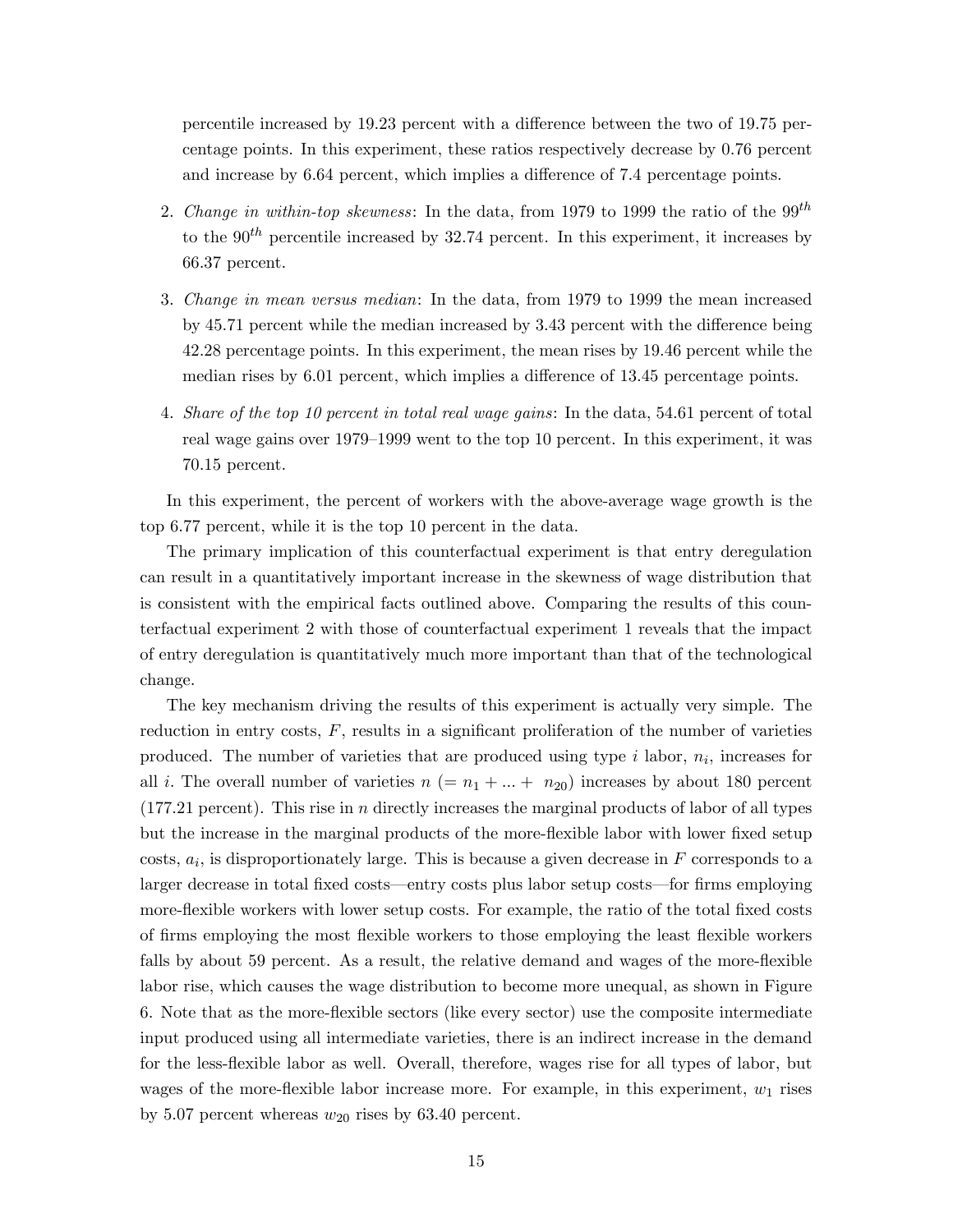percentile increased by 19.23 percent with a difference between the two of 19.75 percentage points. In this experiment, these ratios respectively decrease by 0.76 percent and increase by 6.64 percent, which implies a difference of 7.4 percentage points.

- 2. Change in within-top skewness: In the data, from 1979 to 1999 the ratio of the  $99^{th}$ to the  $90<sup>th</sup>$  percentile increased by 32.74 percent. In this experiment, it increases by 66.37 percent.
- 3. Change in mean versus median: In the data, from 1979 to 1999 the mean increased by 45.71 percent while the median increased by 3.43 percent with the difference being 42.28 percentage points. In this experiment, the mean rises by 19.46 percent while the median rises by 6.01 percent, which implies a difference of 13.45 percentage points.
- 4. Share of the top 10 percent in total real wage gains: In the data, 54.61 percent of total real wage gains over  $1979-1999$  went to the top 10 percent. In this experiment, it was 70.15 percent.

In this experiment, the percent of workers with the above-average wage growth is the top 6.77 percent, while it is the top 10 percent in the data.

The primary implication of this counterfactual experiment is that entry deregulation can result in a quantitatively important increase in the skewness of wage distribution that is consistent with the empirical facts outlined above. Comparing the results of this counterfactual experiment 2 with those of counterfactual experiment 1 reveals that the impact of entry deregulation is quantitatively much more important than that of the technological change.

The key mechanism driving the results of this experiment is actually very simple. The reduction in entry costs,  $F$ , results in a significant proliferation of the number of varieties produced. The number of varieties that are produced using type  $i$  labor,  $n_i$ , increases for all i. The overall number of varieties  $n (= n_1 + ... + n_{20})$  increases by about 180 percent  $(177.21$  percent). This rise in *n* directly increases the marginal products of labor of all types but the increase in the marginal products of the more-flexible labor with lower fixed setup  $\cos(s, a_i)$ , is disproportionately large. This is because a given decrease in F corresponds to a larger decrease in total fixed costs—entry costs plus labor setup costs—for firms employing more-flexible workers with lower setup costs. For example, the ratio of the total fixed costs of firms employing the most flexible workers to those employing the least flexible workers falls by about 59 percent. As a result, the relative demand and wages of the more-flexible labor rise, which causes the wage distribution to become more unequal, as shown in Figure 6. Note that as the more-áexible sectors (like every sector) use the composite intermediate input produced using all intermediate varieties, there is an indirect increase in the demand for the less-flexible labor as well. Overall, therefore, wages rise for all types of labor, but wages of the more-flexible labor increase more. For example, in this experiment,  $w_1$  rises by 5.07 percent whereas  $w_{20}$  rises by 63.40 percent.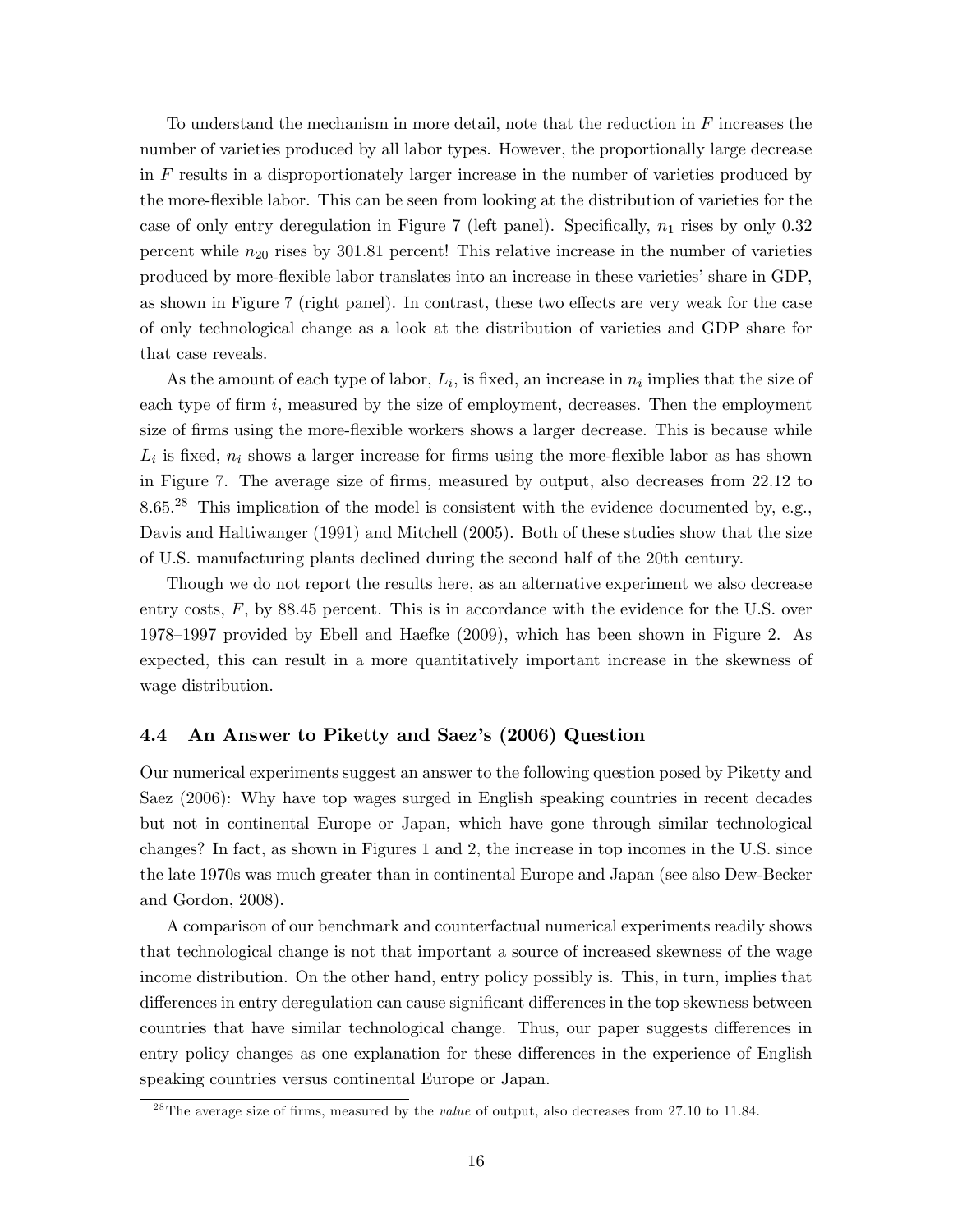To understand the mechanism in more detail, note that the reduction in  $F$  increases the number of varieties produced by all labor types. However, the proportionally large decrease in F results in a disproportionately larger increase in the number of varieties produced by the more-flexible labor. This can be seen from looking at the distribution of varieties for the case of only entry deregulation in Figure 7 (left panel). Specifically,  $n_1$  rises by only 0.32 percent while  $n_{20}$  rises by 301.81 percent! This relative increase in the number of varieties produced by more-flexible labor translates into an increase in these varieties' share in GDP, as shown in Figure 7 (right panel). In contrast, these two effects are very weak for the case of only technological change as a look at the distribution of varieties and GDP share for that case reveals.

As the amount of each type of labor,  $L_i$ , is fixed, an increase in  $n_i$  implies that the size of each type of firm  $i$ , measured by the size of employment, decreases. Then the employment size of firms using the more-flexible workers shows a larger decrease. This is because while  $L_i$  is fixed,  $n_i$  shows a larger increase for firms using the more-flexible labor as has shown in Figure 7. The average size of firms, measured by output, also decreases from 22.12 to 8.65.<sup>28</sup> This implication of the model is consistent with the evidence documented by, e.g., Davis and Haltiwanger (1991) and Mitchell (2005). Both of these studies show that the size of U.S. manufacturing plants declined during the second half of the 20th century.

Though we do not report the results here, as an alternative experiment we also decrease entry costs, F, by 88.45 percent. This is in accordance with the evidence for the U.S. over 1978–1997 provided by Ebell and Haefke  $(2009)$ , which has been shown in Figure 2. As expected, this can result in a more quantitatively important increase in the skewness of wage distribution.

#### 4.4 An Answer to Piketty and Saezís (2006) Question

Our numerical experiments suggest an answer to the following question posed by Piketty and Saez (2006): Why have top wages surged in English speaking countries in recent decades but not in continental Europe or Japan, which have gone through similar technological changes? In fact, as shown in Figures 1 and 2, the increase in top incomes in the U.S. since the late 1970s was much greater than in continental Europe and Japan (see also Dew-Becker and Gordon, 2008).

A comparison of our benchmark and counterfactual numerical experiments readily shows that technological change is not that important a source of increased skewness of the wage income distribution. On the other hand, entry policy possibly is. This, in turn, implies that differences in entry deregulation can cause significant differences in the top skewness between countries that have similar technological change. Thus, our paper suggests differences in entry policy changes as one explanation for these differences in the experience of English speaking countries versus continental Europe or Japan.

 $^{28}$ The average size of firms, measured by the *value* of output, also decreases from 27.10 to 11.84.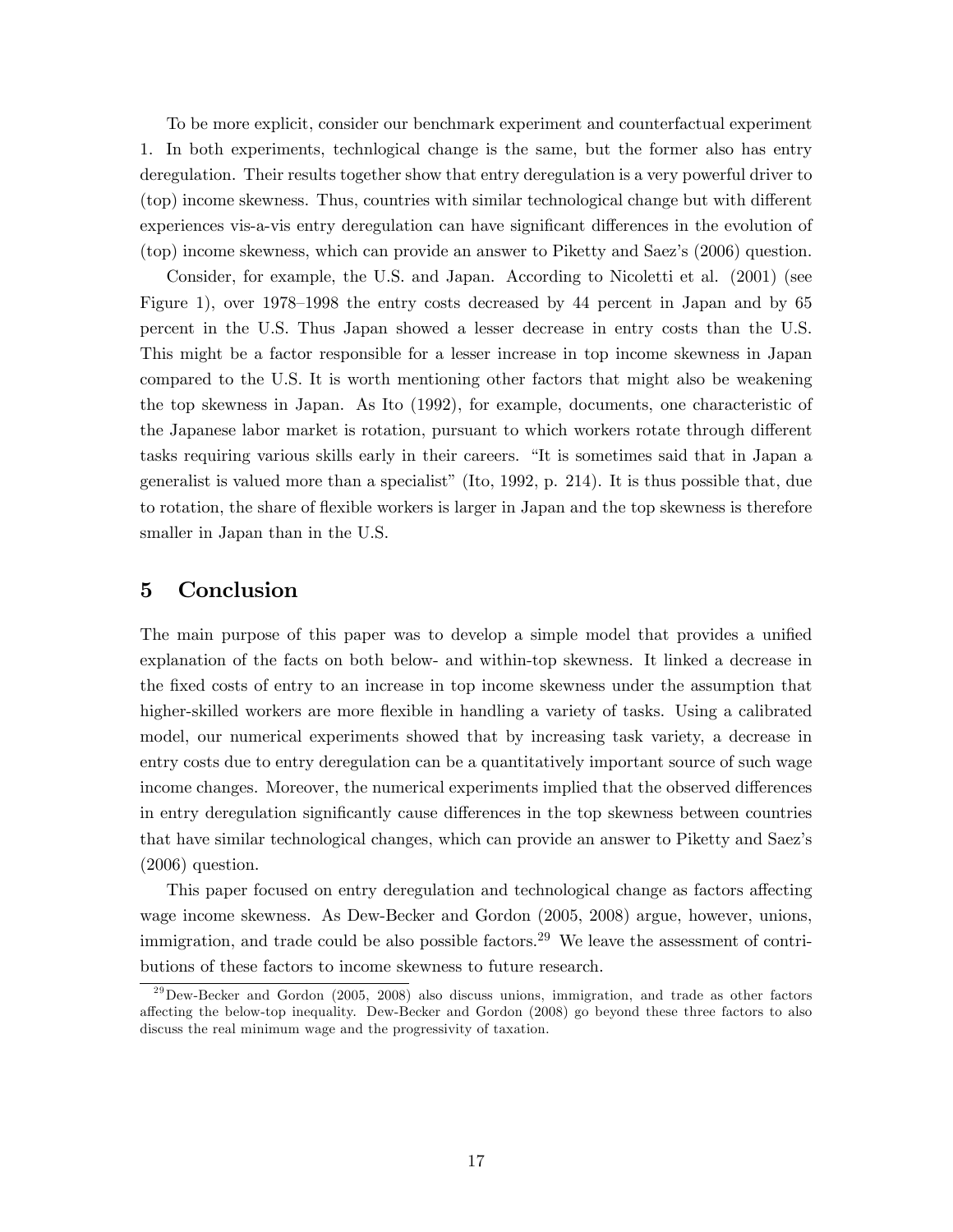To be more explicit, consider our benchmark experiment and counterfactual experiment 1. In both experiments, technlogical change is the same, but the former also has entry deregulation. Their results together show that entry deregulation is a very powerful driver to (top) income skewness. Thus, countries with similar technological change but with different experiences vis-a-vis entry deregulation can have significant differences in the evolution of (top) income skewness, which can provide an answer to Piketty and Saezís (2006) question.

Consider, for example, the U.S. and Japan. According to Nicoletti et al. (2001) (see Figure 1), over  $1978-1998$  the entry costs decreased by 44 percent in Japan and by 65 percent in the U.S. Thus Japan showed a lesser decrease in entry costs than the U.S. This might be a factor responsible for a lesser increase in top income skewness in Japan compared to the U.S. It is worth mentioning other factors that might also be weakening the top skewness in Japan. As Ito (1992), for example, documents, one characteristic of the Japanese labor market is rotation, pursuant to which workers rotate through different tasks requiring various skills early in their careers. "It is sometimes said that in Japan a generalist is valued more than a specialist" (Ito,  $1992$ , p. 214). It is thus possible that, due to rotation, the share of flexible workers is larger in Japan and the top skewness is therefore smaller in Japan than in the U.S.

### 5 Conclusion

The main purpose of this paper was to develop a simple model that provides a unified explanation of the facts on both below- and within-top skewness. It linked a decrease in the Öxed costs of entry to an increase in top income skewness under the assumption that higher-skilled workers are more flexible in handling a variety of tasks. Using a calibrated model, our numerical experiments showed that by increasing task variety, a decrease in entry costs due to entry deregulation can be a quantitatively important source of such wage income changes. Moreover, the numerical experiments implied that the observed differences in entry deregulation significantly cause differences in the top skewness between countries that have similar technological changes, which can provide an answer to Piketty and Saezís (2006) question.

This paper focused on entry deregulation and technological change as factors affecting wage income skewness. As Dew-Becker and Gordon (2005, 2008) argue, however, unions, immigration, and trade could be also possible factors.<sup>29</sup> We leave the assessment of contributions of these factors to income skewness to future research.

 $^{29}$ Dew-Becker and Gordon (2005, 2008) also discuss unions, immigration, and trade as other factors a§ecting the below-top inequality. Dew-Becker and Gordon (2008) go beyond these three factors to also discuss the real minimum wage and the progressivity of taxation.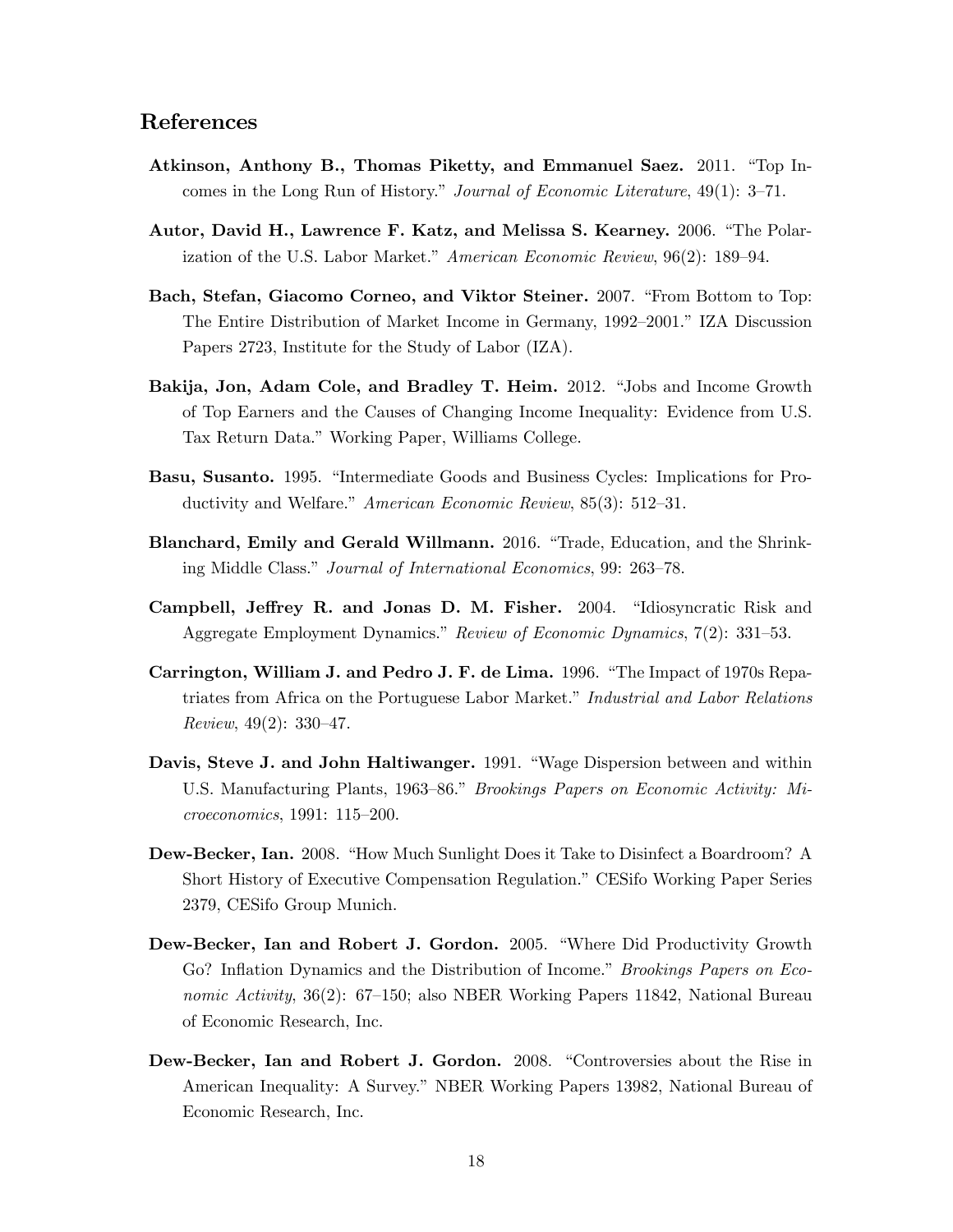# References

- Atkinson, Anthony B., Thomas Piketty, and Emmanuel Saez. 2011. "Top Incomes in the Long Run of History." Journal of Economic Literature,  $49(1): 3-71$ .
- Autor, David H., Lawrence F. Katz, and Melissa S. Kearney. 2006. "The Polarization of the U.S. Labor Market." American Economic Review,  $96(2)$ : 189–94.
- Bach, Stefan, Giacomo Corneo, and Viktor Steiner. 2007. "From Bottom to Top: The Entire Distribution of Market Income in Germany, 1992–2001." IZA Discussion Papers 2723, Institute for the Study of Labor (IZA).
- Bakija, Jon, Adam Cole, and Bradley T. Heim. 2012. "Jobs and Income Growth of Top Earners and the Causes of Changing Income Inequality: Evidence from U.S. Tax Return Data." Working Paper, Williams College.
- Basu, Susanto. 1995. "Intermediate Goods and Business Cycles: Implications for Productivity and Welfare." American Economic Review, 85(3): 512-31.
- Blanchard, Emily and Gerald Willmann. 2016. "Trade, Education, and the Shrinking Middle Class." Journal of International Economics, 99: 263–78.
- Campbell, Jeffrey R. and Jonas D. M. Fisher. 2004. "Idiosyncratic Risk and Aggregate Employment Dynamics." Review of Economic Dynamics, 7(2): 331-53.
- Carrington, William J. and Pedro J. F. de Lima. 1996. "The Impact of 1970s Repatriates from Africa on the Portuguese Labor Market." Industrial and Labor Relations Review,  $49(2)$ : 330-47.
- Davis, Steve J. and John Haltiwanger. 1991. "Wage Dispersion between and within U.S. Manufacturing Plants, 1963–86.<sup>n</sup> Brookings Papers on Economic Activity: Mi $croe conomics, 1991: 115–200.$
- Dew-Becker, Ian. 2008. "How Much Sunlight Does it Take to Disinfect a Boardroom? A Short History of Executive Compensation Regulation." CESifo Working Paper Series 2379, CESifo Group Munich.
- Dew-Becker, Ian and Robert J. Gordon. 2005. "Where Did Productivity Growth Go? Inflation Dynamics and the Distribution of Income." Brookings Papers on Economic Activity,  $36(2)$ :  $67-150$ ; also NBER Working Papers 11842, National Bureau of Economic Research, Inc.
- Dew-Becker, Ian and Robert J. Gordon. 2008. "Controversies about the Rise in American Inequality: A Survey.î NBER Working Papers 13982, National Bureau of Economic Research, Inc.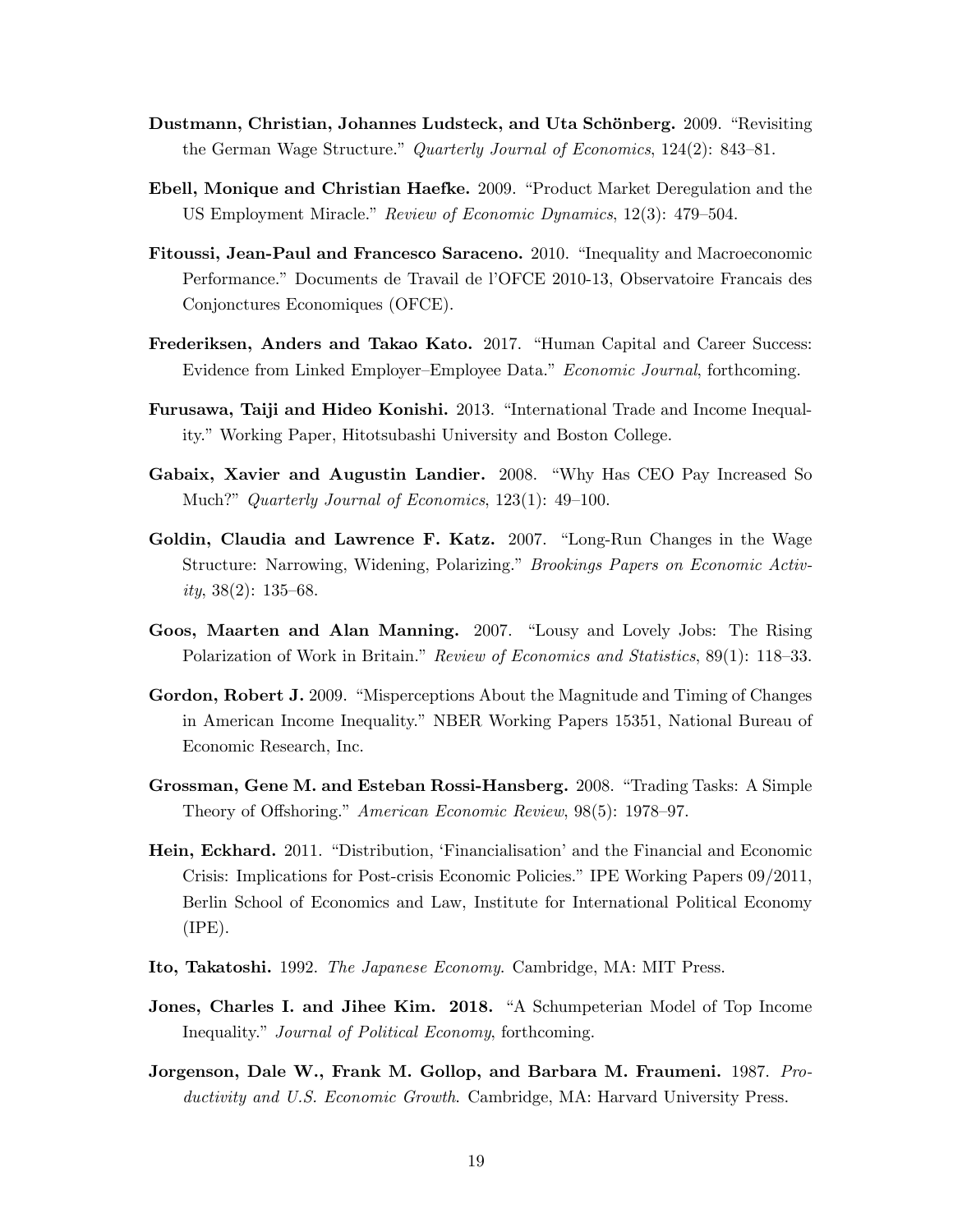- Dustmann, Christian, Johannes Ludsteck, and Uta Schönberg. 2009. "Revisiting the German Wage Structure." Quarterly Journal of Economics,  $124(2)$ : 843–81.
- Ebell, Monique and Christian Haefke. 2009. "Product Market Deregulation and the US Employment Miracle." Review of Economic Dynamics, 12(3): 479–504.
- Fitoussi, Jean-Paul and Francesco Saraceno. 2010. "Inequality and Macroeconomic Performance." Documents de Travail de l'OFCE 2010-13, Observatoire Francais des Conjonctures Economiques (OFCE).
- Frederiksen, Anders and Takao Kato. 2017. "Human Capital and Career Success: Evidence from Linked Employer–Employee Data." Economic Journal, forthcoming.
- Furusawa, Taiji and Hideo Konishi. 2013. "International Trade and Income Inequality." Working Paper, Hitotsubashi University and Boston College.
- Gabaix, Xavier and Augustin Landier. 2008. "Why Has CEO Pay Increased So Much?" Quarterly Journal of Economics,  $123(1)$ : 49–100.
- Goldin, Claudia and Lawrence F. Katz.  $2007$ . "Long-Run Changes in the Wage Structure: Narrowing, Widening, Polarizing." Brookings Papers on Economic Activity,  $38(2)$ : 135–68.
- Goos, Maarten and Alan Manning. 2007. "Lousy and Lovely Jobs: The Rising Polarization of Work in Britain." Review of Economics and Statistics,  $89(1)$ : 118–33.
- Gordon, Robert J. 2009. "Misperceptions About the Magnitude and Timing of Changes in American Income Inequality.î NBER Working Papers 15351, National Bureau of Economic Research, Inc.
- Grossman, Gene M. and Esteban Rossi-Hansberg. 2008. "Trading Tasks: A Simple Theory of Offshoring." American Economic Review, 98(5): 1978–97.
- Hein, Eckhard. 2011. "Distribution, 'Financialisation' and the Financial and Economic Crisis: Implications for Post-crisis Economic Policies." IPE Working Papers 09/2011, Berlin School of Economics and Law, Institute for International Political Economy  $(IPE)$ .
- Ito, Takatoshi. 1992. The Japanese Economy. Cambridge, MA: MIT Press.
- Jones, Charles I. and Jihee Kim. 2018. "A Schumpeterian Model of Top Income Inequality." Journal of Political Economy, forthcoming.
- Jorgenson, Dale W., Frank M. Gollop, and Barbara M. Fraumeni. 1987. *Pro*ductivity and U.S. Economic Growth. Cambridge, MA: Harvard University Press.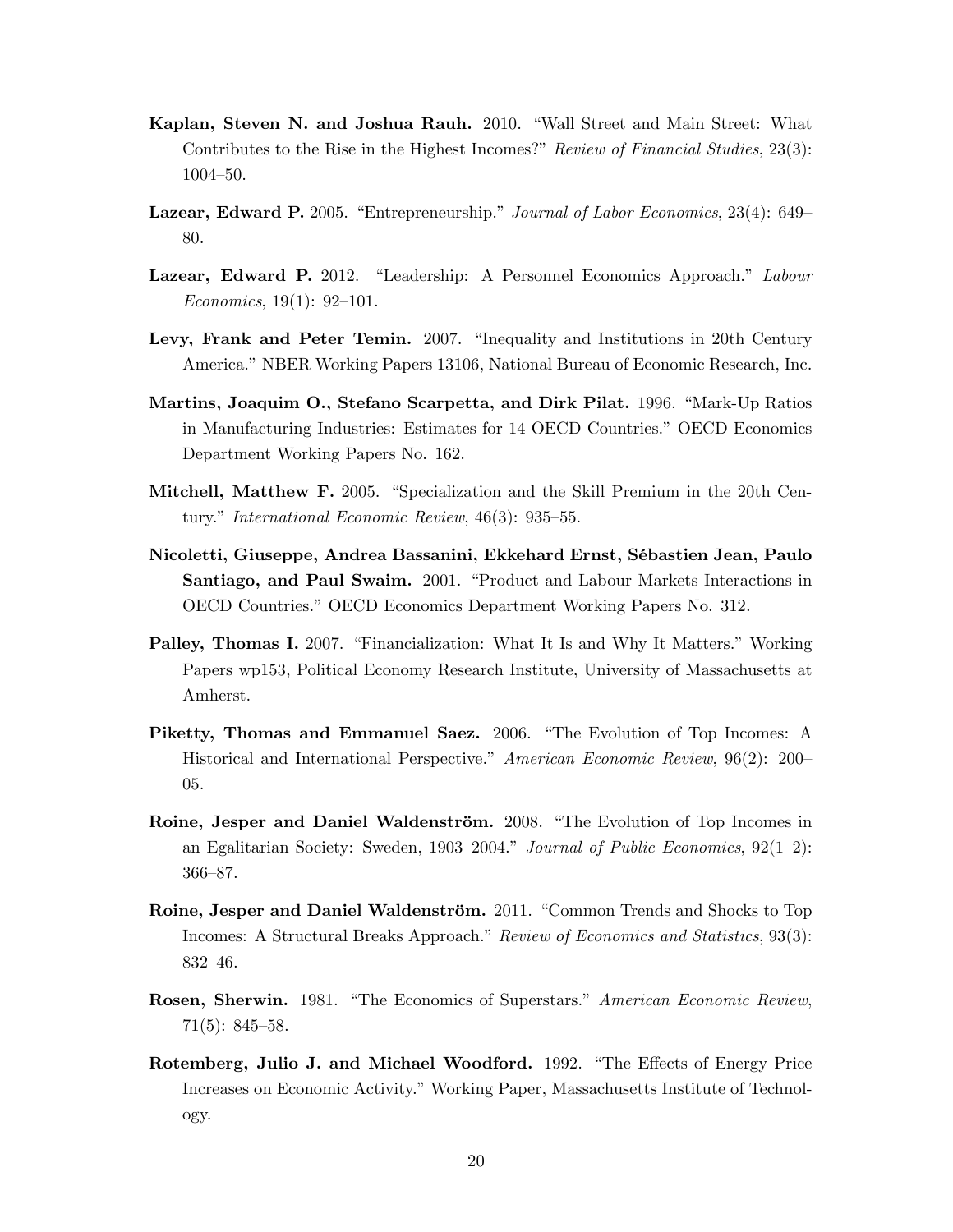- Kaplan, Steven N. and Joshua Rauh. 2010. "Wall Street and Main Street: What Contributes to the Rise in the Highest Incomes?" Review of Financial Studies,  $23(3)$ : 1004-50.
- Lazear, Edward P. 2005. "Entrepreneurship." Journal of Labor Economics, 23(4): 649 80.
- Lazear, Edward P. 2012. "Leadership: A Personnel Economics Approach." Labour Economics,  $19(1)$ :  $92-101$ .
- Levy, Frank and Peter Temin. 2007. "Inequality and Institutions in 20th Century America." NBER Working Papers 13106, National Bureau of Economic Research, Inc.
- Martins, Joaquim O., Stefano Scarpetta, and Dirk Pilat. 1996. "Mark-Up Ratios in Manufacturing Industries: Estimates for 14 OECD Countries." OECD Economics Department Working Papers No. 162.
- Mitchell, Matthew F. 2005. "Specialization and the Skill Premium in the 20th Century." International Economic Review,  $46(3)$ : 935–55.
- Nicoletti, Giuseppe, Andrea Bassanini, Ekkehard Ernst, SÈbastien Jean, Paulo Santiago, and Paul Swaim. 2001. "Product and Labour Markets Interactions in OECD Countries.îOECD Economics Department Working Papers No. 312.
- **Palley, Thomas I.** 2007. "Financialization: What It Is and Why It Matters." Working Papers wp153, Political Economy Research Institute, University of Massachusetts at Amherst.
- Piketty, Thomas and Emmanuel Saez. 2006. "The Evolution of Top Incomes: A Historical and International Perspective." American Economic Review,  $96(2): 200-$ 05.
- Roine, Jesper and Daniel Waldenström. 2008. "The Evolution of Top Incomes in an Egalitarian Society: Sweden, 1903–2004.<sup>n</sup> Journal of Public Economics, 92(1–2): 366-87.
- Roine, Jesper and Daniel Waldenström. 2011. "Common Trends and Shocks to Top Incomes: A Structural Breaks Approach." Review of Economics and Statistics, 93(3): 832-46.
- Rosen, Sherwin. 1981. "The Economics of Superstars." American Economic Review,  $71(5): 845-58.$
- Rotemberg, Julio J. and Michael Woodford. 1992. "The Effects of Energy Price Increases on Economic Activity." Working Paper, Massachusetts Institute of Technology.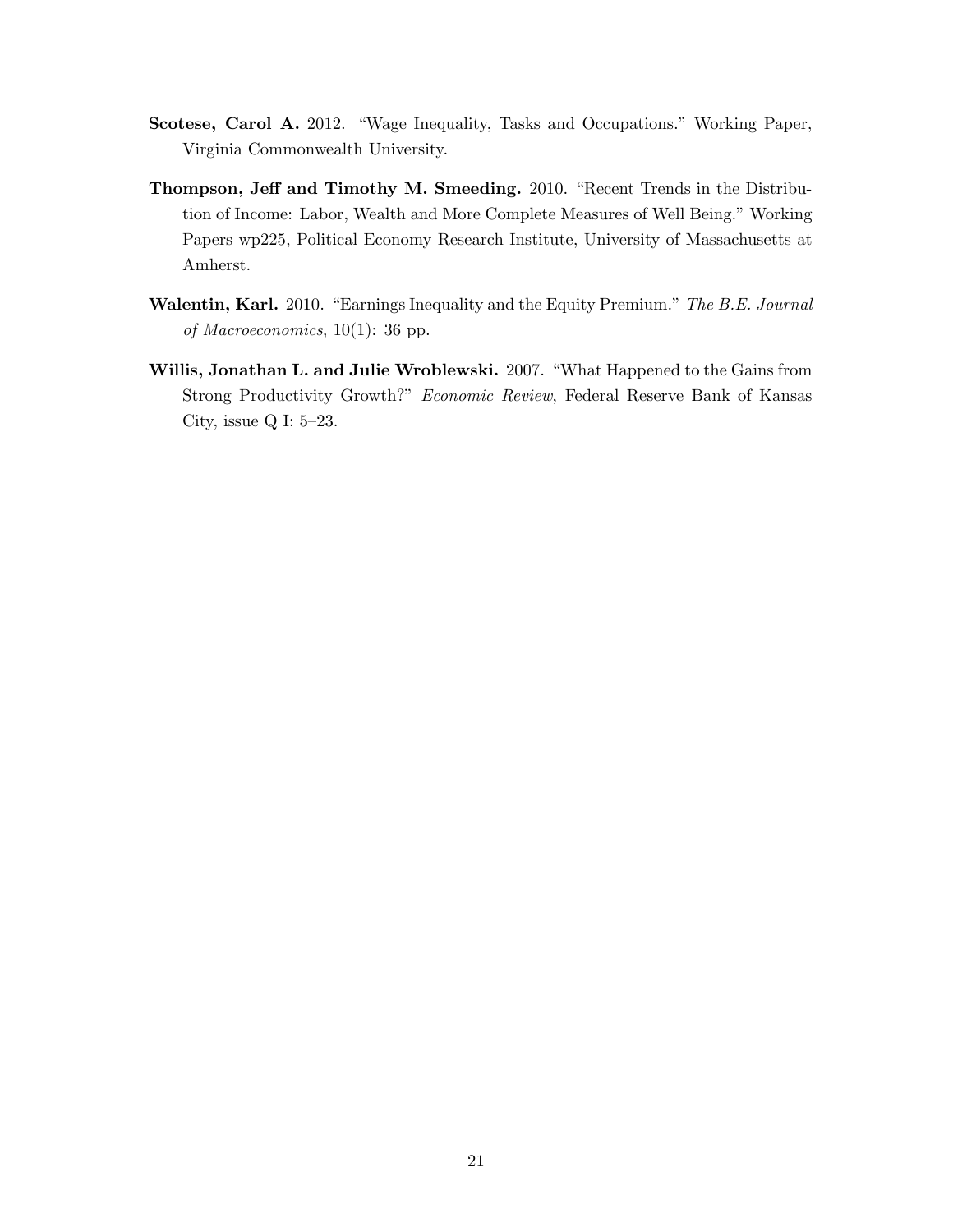- Scotese, Carol A. 2012. "Wage Inequality, Tasks and Occupations." Working Paper, Virginia Commonwealth University.
- Thompson, Jeff and Timothy M. Smeeding. 2010. "Recent Trends in the Distribution of Income: Labor, Wealth and More Complete Measures of Well Being." Working Papers wp225, Political Economy Research Institute, University of Massachusetts at Amherst.
- Walentin, Karl. 2010. "Earnings Inequality and the Equity Premium." The B.E. Journal of Macroeconomics, 10(1): 36 pp.
- Willis, Jonathan L. and Julie Wroblewski. 2007. "What Happened to the Gains from Strong Productivity Growth?" Economic Review, Federal Reserve Bank of Kansas City, issue Q I:  $5-23$ .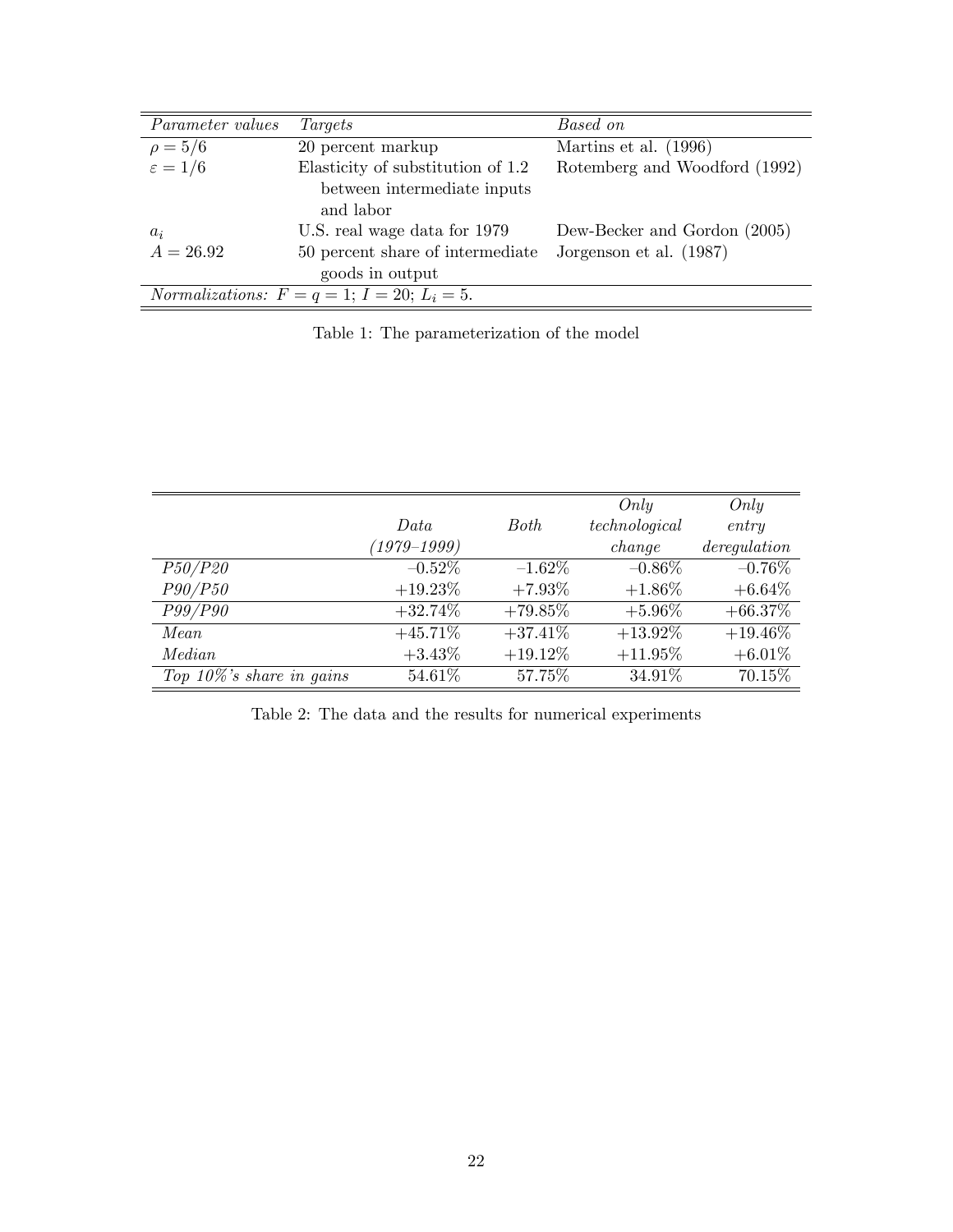| Parameter values                                            | Targets                                  | Based on                      |  |  |  |
|-------------------------------------------------------------|------------------------------------------|-------------------------------|--|--|--|
| $\rho = 5/6$                                                | 20 percent markup                        | Martins et al. (1996)         |  |  |  |
| $\varepsilon = 1/6$                                         | Elasticity of substitution of 1.2        | Rotemberg and Woodford (1992) |  |  |  |
|                                                             | between intermediate inputs<br>and labor |                               |  |  |  |
| $a_i$                                                       | U.S. real wage data for 1979             | Dew-Becker and Gordon (2005)  |  |  |  |
| $A = 26.92$                                                 | 50 percent share of intermediate         | Jorgenson et al. (1987)       |  |  |  |
|                                                             | goods in output                          |                               |  |  |  |
| <i>Normalizations:</i> $F = q = 1$ ; $I = 20$ ; $L_i = 5$ . |                                          |                               |  |  |  |

Table 1: The parameterization of the model

|                              |                 |             | Only          | Only        |
|------------------------------|-----------------|-------------|---------------|-------------|
|                              | Data            | <b>Both</b> | technological | entry       |
|                              | $(1979 - 1999)$ |             | change        | derequation |
| <i>P50/P20</i>               | $-0.52\%$       | $-1.62\%$   | $-0.86\%$     | $-0.76\%$   |
| P90/P50                      | $+19.23\%$      | $+7.93\%$   | $+1.86\%$     | $+6.64\%$   |
| P99/P90                      | $+32.74\%$      | $+79.85\%$  | $+5.96\%$     | $+66.37\%$  |
| Mean                         | $+45.71\%$      | $+37.41\%$  | $+13.92\%$    | $+19.46\%$  |
| Median                       | $+3.43\%$       | $+19.12\%$  | $+11.95\%$    | $+6.01\%$   |
| Top $10\%$ 's share in gains | 54.61%          | 57.75%      | 34.91%        | 70.15%      |

Table 2: The data and the results for numerical experiments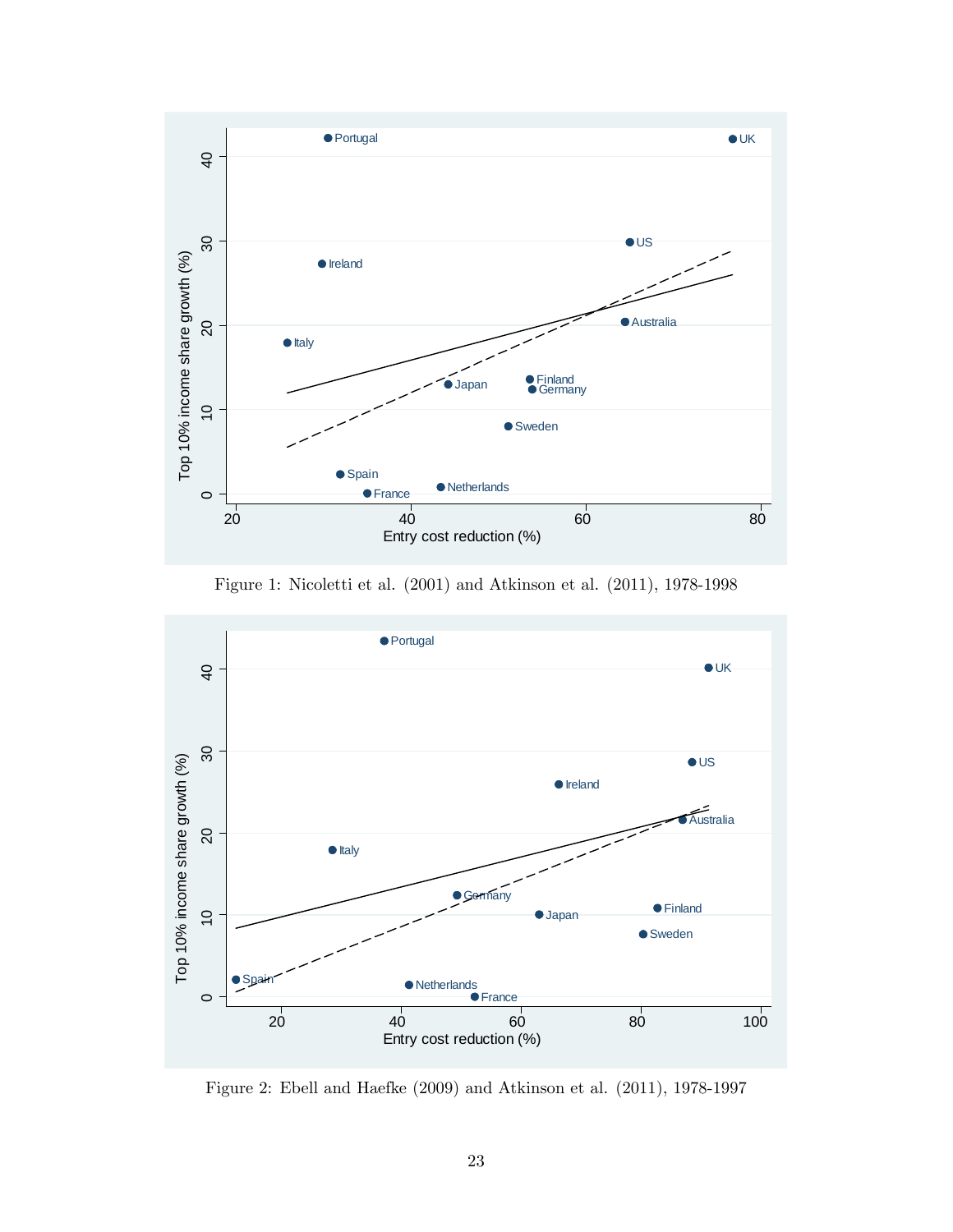

Figure 1: Nicoletti et al. (2001) and Atkinson et al. (2011), 1978-1998



Figure 2: Ebell and Haefke (2009) and Atkinson et al. (2011), 1978-1997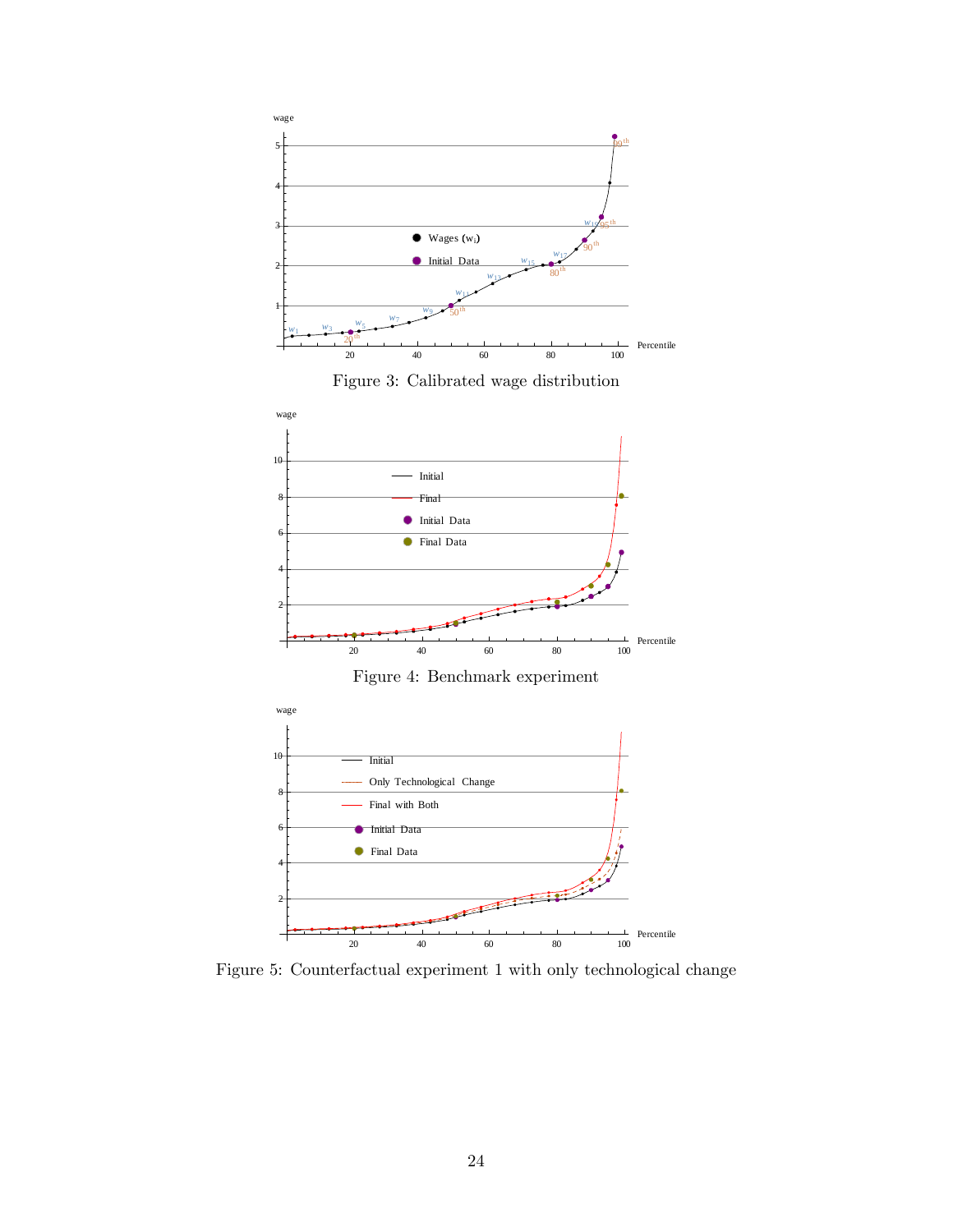

Figure 5: Counterfactual experiment 1 with only technological change